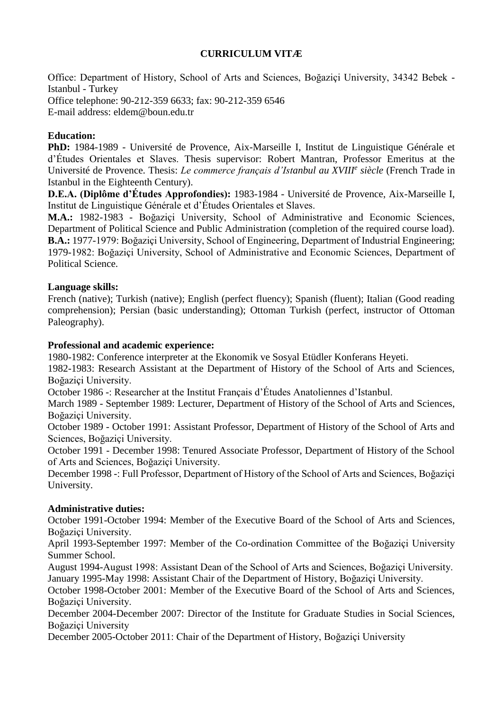## **CURRICULUM VITÆ**

Office: Department of History, School of Arts and Sciences, Boğaziçi University, 34342 Bebek - Istanbul - Turkey Office telephone: 90-212-359 6633; fax: 90-212-359 6546 E-mail address: eldem@boun.edu.tr

## **Education:**

**PhD:** 1984-1989 - Université de Provence, Aix-Marseille I, Institut de Linguistique Générale et d'Études Orientales et Slaves. Thesis supervisor: Robert Mantran, Professor Emeritus at the Université de Provence. Thesis: *Le commerce français d'Istanbul au XVIII<sup>e</sup> siècle* (French Trade in Istanbul in the Eighteenth Century).

**D.E.A. (Diplôme d'Études Approfondies):** 1983-1984 - Université de Provence, Aix-Marseille I, Institut de Linguistique Générale et d'Études Orientales et Slaves.

**M.A.:** 1982-1983 - Boğaziçi University, School of Administrative and Economic Sciences, Department of Political Science and Public Administration (completion of the required course load). **B.A.:** 1977-1979: Boğaziçi University, School of Engineering, Department of Industrial Engineering; 1979-1982: Boğaziçi University, School of Administrative and Economic Sciences, Department of Political Science.

## **Language skills:**

French (native); Turkish (native); English (perfect fluency); Spanish (fluent); Italian (Good reading comprehension); Persian (basic understanding); Ottoman Turkish (perfect, instructor of Ottoman Paleography).

## **Professional and academic experience:**

1980-1982: Conference interpreter at the Ekonomik ve Sosyal Etüdler Konferans Heyeti.

1982-1983: Research Assistant at the Department of History of the School of Arts and Sciences, Boğaziçi University.

October 1986 -: Researcher at the Institut Français d'Études Anatoliennes d'Istanbul.

March 1989 - September 1989: Lecturer, Department of History of the School of Arts and Sciences, Boğaziçi University.

October 1989 - October 1991: Assistant Professor, Department of History of the School of Arts and Sciences, Boğaziçi University.

October 1991 - December 1998: Tenured Associate Professor, Department of History of the School of Arts and Sciences, Boğaziçi University.

December 1998 -: Full Professor, Department of History of the School of Arts and Sciences, Boğaziçi University.

## **Administrative duties:**

October 1991-October 1994: Member of the Executive Board of the School of Arts and Sciences, Boğaziçi University.

April 1993-September 1997: Member of the Co-ordination Committee of the Boğaziçi University Summer School.

August 1994-August 1998: Assistant Dean of the School of Arts and Sciences, Boğaziçi University. January 1995-May 1998: Assistant Chair of the Department of History, Boğaziçi University.

October 1998-October 2001: Member of the Executive Board of the School of Arts and Sciences, Boğaziçi University.

December 2004-December 2007: Director of the Institute for Graduate Studies in Social Sciences, Boğaziçi University

December 2005-October 2011: Chair of the Department of History, Boğaziçi University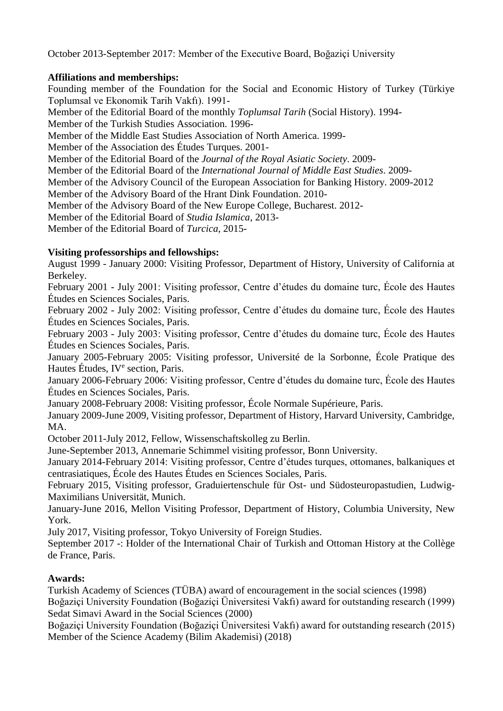October 2013-September 2017: Member of the Executive Board, Boğaziçi University

## **Affiliations and memberships:**

Founding member of the Foundation for the Social and Economic History of Turkey (Türkiye Toplumsal ve Ekonomik Tarih Vakfı). 1991- Member of the Editorial Board of the monthly *Toplumsal Tarih* (Social History). 1994- Member of the Turkish Studies Association. 1996- Member of the Middle East Studies Association of North America. 1999- Member of the Association des Études Turques. 2001- Member of the Editorial Board of the *Journal of the Royal Asiatic Society*. 2009- Member of the Editorial Board of the *International Journal of Middle East Studies*. 2009- Member of the Advisory Council of the European Association for Banking History. 2009-2012 Member of the Advisory Board of the Hrant Dink Foundation. 2010- Member of the Advisory Board of the New Europe College, Bucharest. 2012- Member of the Editorial Board of *Studia Islamica*, 2013- Member of the Editorial Board of *Turcica*, 2015-

## **Visiting professorships and fellowships:**

August 1999 - January 2000: Visiting Professor, Department of History, University of California at Berkeley.

February 2001 - July 2001: Visiting professor, Centre d'études du domaine turc, École des Hautes Études en Sciences Sociales, Paris.

February 2002 - July 2002: Visiting professor, Centre d'études du domaine turc, École des Hautes Études en Sciences Sociales, Paris.

February 2003 - July 2003: Visiting professor, Centre d'études du domaine turc, École des Hautes Études en Sciences Sociales, Paris.

January 2005-February 2005: Visiting professor, Université de la Sorbonne, École Pratique des Hautes Études, IV<sup>e</sup> section, Paris.

January 2006-February 2006: Visiting professor, Centre d'études du domaine turc, École des Hautes Études en Sciences Sociales, Paris.

January 2008-February 2008: Visiting professor, École Normale Supérieure, Paris.

January 2009-June 2009, Visiting professor, Department of History, Harvard University, Cambridge, MA.

October 2011-July 2012, Fellow, Wissenschaftskolleg zu Berlin.

June-September 2013, Annemarie Schimmel visiting professor, Bonn University.

January 2014-February 2014: Visiting professor, Centre d'études turques, ottomanes, balkaniques et centrasiatiques, École des Hautes Études en Sciences Sociales, Paris.

February 2015, Visiting professor, Graduiertenschule für Ost- und Südosteuropastudien, Ludwig-Maximilians Universität, Munich.

January-June 2016, Mellon Visiting Professor, Department of History, Columbia University, New York.

July 2017, Visiting professor, Tokyo University of Foreign Studies.

September 2017 -: Holder of the International Chair of Turkish and Ottoman History at the Collège de France, Paris.

# **Awards:**

Turkish Academy of Sciences (TÜBA) award of encouragement in the social sciences (1998) Boğaziçi University Foundation (Boğaziçi Üniversitesi Vakfı) award for outstanding research (1999) Sedat Simavi Award in the Social Sciences (2000)

Boğaziçi University Foundation (Boğaziçi Üniversitesi Vakfı) award for outstanding research (2015) Member of the Science Academy (Bilim Akademisi) (2018)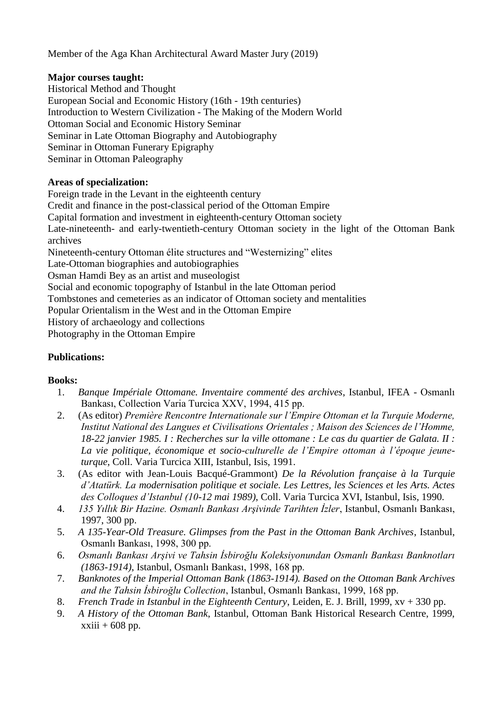Member of the Aga Khan Architectural Award Master Jury (2019)

## **Major courses taught:**

Historical Method and Thought European Social and Economic History (16th - 19th centuries) Introduction to Western Civilization - The Making of the Modern World Ottoman Social and Economic History Seminar Seminar in Late Ottoman Biography and Autobiography Seminar in Ottoman Funerary Epigraphy Seminar in Ottoman Paleography

## **Areas of specialization:**

Foreign trade in the Levant in the eighteenth century

Credit and finance in the post-classical period of the Ottoman Empire

Capital formation and investment in eighteenth-century Ottoman society

Late-nineteenth- and early-twentieth-century Ottoman society in the light of the Ottoman Bank archives

Nineteenth-century Ottoman élite structures and "Westernizing" elites

Late-Ottoman biographies and autobiographies

Osman Hamdi Bey as an artist and museologist

Social and economic topography of Istanbul in the late Ottoman period

Tombstones and cemeteries as an indicator of Ottoman society and mentalities

Popular Orientalism in the West and in the Ottoman Empire

History of archaeology and collections

Photography in the Ottoman Empire

# **Publications:**

# **Books:**

- 1. *Banque Impériale Ottomane. Inventaire commenté des archives*, Istanbul, IFEA Osmanlı Bankası, Collection Varia Turcica XXV, 1994, 415 pp.
- 2. (As editor) *Première Rencontre Internationale sur l'Empire Ottoman et la Turquie Moderne, Institut National des Langues et Civilisations Orientales ; Maison des Sciences de l'Homme, 18-22 janvier 1985. I : Recherches sur la ville ottomane : Le cas du quartier de Galata. II : La vie politique, économique et socio-culturelle de l'Empire ottoman à l'époque jeuneturque*, Coll. Varia Turcica XIII, Istanbul, Isis, 1991.
- 3. (As editor with Jean-Louis Bacqué-Grammont) *De la Révolution française à la Turquie d'Atatürk. La modernisation politique et sociale. Les Lettres, les Sciences et les Arts. Actes des Colloques d'Istanbul (10-12 mai 1989)*, Coll. Varia Turcica XVI, Istanbul, Isis, 1990.
- 4. *135 Yıllık Bir Hazine. Osmanlı Bankası Arşivinde Tarihten İzler*, Istanbul, Osmanlı Bankası, 1997, 300 pp.
- 5. *A 135-Year-Old Treasure. Glimpses from the Past in the Ottoman Bank Archives*, Istanbul, Osmanlı Bankası, 1998, 300 pp.
- 6. *Osmanlı Bankası Arşivi ve Tahsin İsbiroğlu Koleksiyonundan Osmanlı Bankası Banknotları (1863-1914)*, Istanbul, Osmanlı Bankası, 1998, 168 pp.
- 7. *Banknotes of the Imperial Ottoman Bank (1863-1914). Based on the Ottoman Bank Archives and the Tahsin İsbiroğlu Collection*, Istanbul, Osmanlı Bankası, 1999, 168 pp.
- 8. *French Trade in Istanbul in the Eighteenth Century*, Leiden, E. J. Brill, 1999, xv + 330 pp.
- 9. *A History of the Ottoman Bank*, Istanbul, Ottoman Bank Historical Research Centre, 1999,  $xxiii + 608$  pp.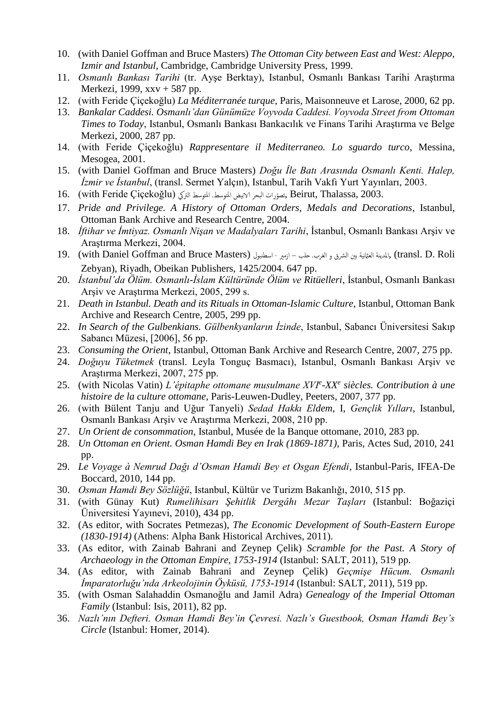- 10. (with Daniel Goffman and Bruce Masters) *The Ottoman City between East and West: Aleppo, Izmir and Istanbul*, Cambridge, Cambridge University Press, 1999.
- 11. *Osmanlı Bankası Tarihi* (tr. Ayşe Berktay), Istanbul, Osmanlı Bankası Tarihi Araştırma Merkezi, 1999, xxv + 587 pp.
- 12. (with Feride Çiçekoğlu) *La Méditerranée turque*, Paris, Maisonneuve et Larose, 2000, 62 pp.
- 13. *Bankalar Caddesi. Osmanlı'dan Günümüze Voyvoda Caddesi. Voyvoda Street from Ottoman Times to Today*, Istanbul, Osmanlı Bankası Bankacılık ve Finans Tarihi Araştırma ve Belge Merkezi, 2000, 287 pp.
- 14. (with Feride Çiçekoğlu) *Rappresentare il Mediterraneo. Lo sguardo turco*, Messina, Mesogea, 2001.
- 15. (with Daniel Goffman and Bruce Masters) *Doğu İle Batı Arasında Osmanlı Kenti. Halep, İzmir ve İstanbul*, (transl. Sermet Yalçın), Istanbul, Tarih Vakfı Yurt Yayınları, 2003.
- 2003. ,Thalassa ,Beirut ,تصو الرتيک ّرات البحر الابيض املتوسط. املتوسط (Çiçekoğlu Feride with (16.
- 17. *Pride and Privilege. A History of Ottoman Orders, Medals and Decorations*, Istanbul, Ottoman Bank Archive and Research Centre, 2004.
- 18. *İftihar ve İmtiyaz. Osmanlı Nişan ve Madalyaları Tarihi*, İstanbul, Osmanlı Bankası Arşiv ve Araştırma Merkezi, 2004.
- 19. (with Daniel Goffman and Bruce Masters) المدينة العثانية بين الشرق و الغرب. حلب ازمير اسطنبول (Masters أ Zebyan), Riyadh, Obeikan Publishers, 1425/2004. 647 pp.
- 20. *İstanbul'da Ölüm. Osmanlı-İslam Kültüründe Ölüm ve Ritüelleri*, İstanbul, Osmanlı Bankası Arşiv ve Araştırma Merkezi, 2005, 299 s.
- 21. *Death in Istanbul. Death and its Rituals in Ottoman-Islamic Culture*, Istanbul, Ottoman Bank Archive and Research Centre, 2005, 299 pp.
- 22. *In Search of the Gulbenkians. Gülbenkyanların İzinde*, Istanbul, Sabancı Üniversitesi Sakıp Sabancı Müzesi, [2006], 56 pp.
- 23. *Consuming the Orient*, Istanbul, Ottoman Bank Archive and Research Centre, 2007, 275 pp.
- 24. *Doğuyu Tüketmek* (transl. Leyla Tonguç Basmacı), Istanbul, Osmanlı Bankası Arşiv ve Araştırma Merkezi, 2007, 275 pp.
- 25. (with Nicolas Vatin) *L'épitaphe ottomane musulmane XVI<sup>e</sup> -XX<sup>e</sup> siècles. Contribution à une histoire de la culture ottomane*, Paris-Leuwen-Dudley, Peeters, 2007, 377 pp.
- 26. (with Bülent Tanju and Uğur Tanyeli) *Sedad Hakkı Eldem*, I, *Gençlik Yılları*, Istanbul, Osmanlı Bankası Arşiv ve Araştırma Merkezi, 2008, 210 pp.
- 27. *Un Orient de consommation*, Istanbul, Musée de la Banque ottomane, 2010, 283 pp.
- 28. *Un Ottoman en Orient. Osman Hamdi Bey en Irak (1869-1871)*, Paris, Actes Sud, 2010, 241 pp.
- 29. *Le Voyage à Nemrud Dağı d'Osman Hamdi Bey et Osgan Efendi*, Istanbul-Paris, IFEA-De Boccard, 2010, 144 pp.
- 30. *Osman Hamdi Bey Sözlüğü*, Istanbul, Kültür ve Turizm Bakanlığı, 2010, 515 pp.
- 31. (with Günay Kut) *Rumelihisarı Şehitlik Dergâhı Mezar Taşları* (Istanbul: Boğaziçi Üniversitesi Yayınevi, 2010), 434 pp.
- 32. (As editor, with Socrates Petmezas), *The Economic Development of South-Eastern Europe (1830-1914)* (Athens: Alpha Bank Historical Archives, 2011).
- 33. (As editor, with Zainab Bahrani and Zeynep Çelik) *Scramble for the Past. A Story of Archaeology in the Ottoman Empire, 1753-1914* (Istanbul: SALT, 2011), 519 pp.
- 34. (As editor, with Zainab Bahrani and Zeynep Çelik) *Geçmişe Hücum. Osmanlı İmparatorluğu'nda Arkeolojinin Öyküsü, 1753-1914* (Istanbul: SALT, 2011), 519 pp.
- 35. (with Osman Salahaddin Osmanoğlu and Jamil Adra) *Genealogy of the Imperial Ottoman Family* (Istanbul: Isis, 2011), 82 pp.
- 36. *Nazlı'nın Defteri. Osman Hamdi Bey'in Çevresi. Nazlı's Guestbook, Osman Hamdi Bey's Circle* (Istanbul: Homer, 2014).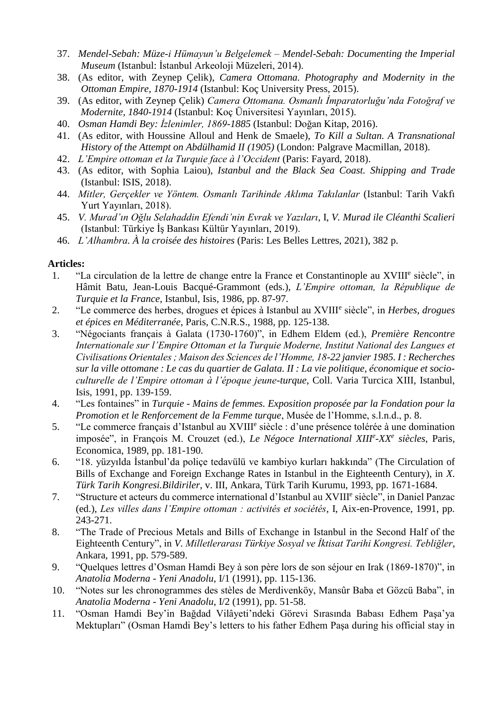- 37. *Mendel-Sebah: Müze-i Hümayun'u Belgelemek – Mendel-Sebah: Documenting the Imperial Museum* (Istanbul: İstanbul Arkeoloji Müzeleri, 2014).
- 38. (As editor, with Zeynep Çelik), *Camera Ottomana. Photography and Modernity in the Ottoman Empire, 1870-1914* (Istanbul: Koç University Press, 2015).
- 39. (As editor, with Zeynep Çelik) *Camera Ottomana. Osmanlı İmparatorluğu'nda Fotoğraf ve Modernite, 1840-1914* (Istanbul: Koç Üniversitesi Yayınları, 2015).
- 40. *Osman Hamdi Bey: İzlenimler, 1869-1885* (Istanbul: Doğan Kitap, 2016).
- 41. (As editor, with Houssine Alloul and Henk de Smaele), *To Kill a Sultan. A Transnational History of the Attempt on Abdülhamid II (1905)* (London: Palgrave Macmillan, 2018).
- 42. *L'Empire ottoman et la Turquie face à l'Occident* (Paris: Fayard, 2018).
- 43. (As editor, with Sophia Laiou), *Istanbul and the Black Sea Coast. Shipping and Trade* (Istanbul: ISIS, 2018).
- 44. *Mitler, Gerçekler ve Yöntem. Osmanlı Tarihinde Aklıma Takılanlar* (Istanbul: Tarih Vakfı Yurt Yayınları, 2018).
- 45. *V. Murad'ın Oğlu Selahaddin Efendi'nin Evrak ve Yazıları*, I, *V. Murad ile Cléanthi Scalieri* (Istanbul: Türkiye İş Bankası Kültür Yayınları, 2019).
- 46. *L'Alhambra. À la croisée des histoires* (Paris: Les Belles Lettres, 2021), 382 p.

#### **Articles:**

- 1. "La circulation de la lettre de change entre la France et Constantinople au XVIII<sup>e</sup> siècle", in Hâmit Batu, Jean-Louis Bacqué-Grammont (eds.), *L'Empire ottoman, la République de Turquie et la France*, Istanbul, Isis, 1986, pp. 87-97.
- 2. "Le commerce des herbes, drogues et épices à Istanbul au XVIII<sup>e</sup> siècle", in *Herbes, drogues et épices en Méditerranée*, Paris, C.N.R.S., 1988, pp. 125-138.
- 3. "Négociants français à Galata (1730-1760)", in Edhem Eldem (ed.), *Première Rencontre Internationale sur l'Empire Ottoman et la Turquie Moderne, Institut National des Langues et Civilisations Orientales ; Maison des Sciences de l'Homme, 18-22 janvier 1985. I : Recherches sur la ville ottomane : Le cas du quartier de Galata. II : La vie politique, économique et socioculturelle de l'Empire ottoman à l'époque jeune-turque*, Coll. Varia Turcica XIII, Istanbul, Isis, 1991, pp. 139-159.
- 4. "Les fontaines" in *Turquie - Mains de femmes. Exposition proposée par la Fondation pour la Promotion et le Renforcement de la Femme turque*, Musée de l'Homme, s.l.n.d., p. 8.
- 5. "Le commerce français d'Istanbul au XVIII<sup>e</sup> siècle : d'une présence tolérée à une domination imposée", in François M. Crouzet (ed.), *Le Négoce International XIII<sup>e</sup> -XX<sup>e</sup> siècles*, Paris, Economica, 1989, pp. 181-190.
- 6. "18. yüzyılda İstanbul'da poliçe tedavülü ve kambiyo kurları hakkında" (The Circulation of Bills of Exchange and Foreign Exchange Rates in Istanbul in the Eighteenth Century), in *X. Türk Tarih Kongresi.Bildiriler*, v. III, Ankara, Türk Tarih Kurumu, 1993, pp. 1671-1684.
- 7. "Structure et acteurs du commerce international d'Istanbul au XVIII<sup>e</sup> siècle", in Daniel Panzac (ed.), *Les villes dans l'Empire ottoman : activités et sociétés*, I, Aix-en-Provence, 1991, pp. 243-271.
- 8. "The Trade of Precious Metals and Bills of Exchange in Istanbul in the Second Half of the Eighteenth Century", in *V. Milletlerarası Türkiye Sosyal ve İktisat Tarihi Kongresi. Tebliğler*, Ankara, 1991, pp. 579-589.
- 9. "Quelques lettres d'Osman Hamdi Bey à son père lors de son séjour en Irak (1869-1870)", in *Anatolia Moderna - Yeni Anadolu*, I/1 (1991), pp. 115-136.
- 10. "Notes sur les chronogrammes des stèles de Merdivenköy, Mansûr Baba et Gözcü Baba", in *Anatolia Moderna - Yeni Anadolu*, I/2 (1991), pp. 51-58.
- 11. "Osman Hamdi Bey'in Bağdad Vilâyeti'ndeki Görevi Sırasında Babası Edhem Paşa'ya Mektupları" (Osman Hamdi Bey's letters to his father Edhem Paşa during his official stay in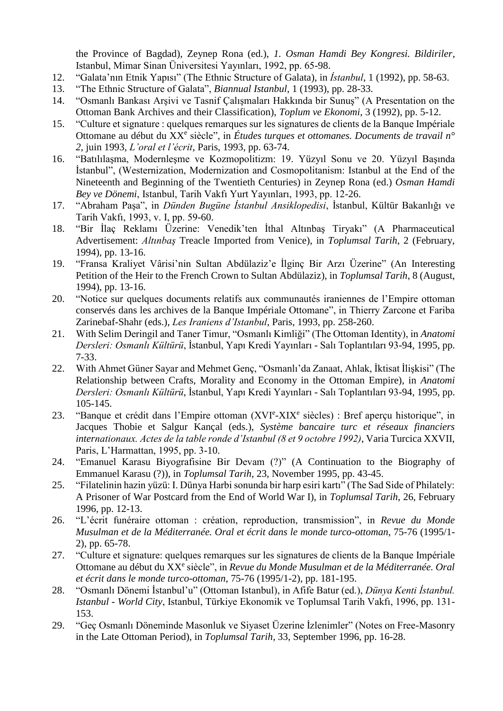the Province of Bagdad), Zeynep Rona (ed.), *1. Osman Hamdi Bey Kongresi. Bildiriler*, Istanbul, Mimar Sinan Üniversitesi Yayınları, 1992, pp. 65-98.

- 12. "Galata'nın Etnik Yapısı" (The Ethnic Structure of Galata), in *İstanbul*, 1 (1992), pp. 58-63.
- 13. "The Ethnic Structure of Galata", *Biannual Istanbul*, 1 (1993), pp. 28-33.
- 14. "Osmanlı Bankası Arşivi ve Tasnif Çalışmaları Hakkında bir Sunuş" (A Presentation on the Ottoman Bank Archives and their Classification), *Toplum ve Ekonomi*, 3 (1992), pp. 5-12.
- 15. "Culture et signature : quelques remarques sur les signatures de clients de la Banque Impériale Ottomane au début du XX<sup>e</sup> siècle", in *Études turques et ottomanes. Documents de travail n<sup>o</sup> 2*, juin 1993, *L'oral et l'écrit*, Paris, 1993, pp. 63-74.
- 16. "Batılılaşma, Modernleşme ve Kozmopolitizm: 19. Yüzyıl Sonu ve 20. Yüzyıl Başında İstanbul", (Westernization, Modernization and Cosmopolitanism: Istanbul at the End of the Nineteenth and Beginning of the Twentieth Centuries) in Zeynep Rona (ed.) *Osman Hamdi Bey ve Dönemi*, Istanbul, Tarih Vakfı Yurt Yayınları, 1993, pp. 12-26.
- 17. "Abraham Paşa", in *Dünden Bugüne İstanbul Ansiklopedisi*, İstanbul, Kültür Bakanlığı ve Tarih Vakfı, 1993, v. I, pp. 59-60.
- 18. "Bir İlaç Reklamı Üzerine: Venedik'ten İthal Altınbaş Tiryakı" (A Pharmaceutical Advertisement: *Altınbaş* Treacle Imported from Venice), in *Toplumsal Tarih*, 2 (February, 1994), pp. 13-16.
- 19. "Fransa Kraliyet Vârisi'nin Sultan Abdülaziz'e İlginç Bir Arzı Üzerine" (An Interesting Petition of the Heir to the French Crown to Sultan Abdülaziz), in *Toplumsal Tarih*, 8 (August, 1994), pp. 13-16.
- 20. "Notice sur quelques documents relatifs aux communautés iraniennes de l'Empire ottoman conservés dans les archives de la Banque Impériale Ottomane", in Thierry Zarcone et Fariba Zarinebaf-Shahr (eds.), *Les Iraniens d'Istanbul*, Paris, 1993, pp. 258-260.
- 21. With Selim Deringil and Taner Timur, "Osmanlı Kimliği" (The Ottoman Identity), in *Anatomi Dersleri: Osmanlı Kültürü*, İstanbul, Yapı Kredi Yayınları - Salı Toplantıları 93-94, 1995, pp. 7-33.
- 22. With Ahmet Güner Sayar and Mehmet Genç, "Osmanlı'da Zanaat, Ahlak, İktisat İlişkisi" (The Relationship between Crafts, Morality and Economy in the Ottoman Empire), in *Anatomi Dersleri: Osmanlı Kültürü*, İstanbul, Yapı Kredi Yayınları - Salı Toplantıları 93-94, 1995, pp. 105-145.
- 23. "Banque et crédit dans l'Empire ottoman (XVIe-XIX<sup>e</sup> siècles) : Bref aperçu historique", in Jacques Thobie et Salgur Kançal (eds.), *Système bancaire turc et réseaux financiers internationaux. Actes de la table ronde d'Istanbul (8 et 9 octobre 1992)*, Varia Turcica XXVII, Paris, L'Harmattan, 1995, pp. 3-10.
- 24. "Emanuel Karasu Biyografisine Bir Devam (?)" (A Continuation to the Biography of Emmanuel Karasu (?)), in *Toplumsal Tarih*, 23, November 1995, pp. 43-45.
- 25. "Filatelinin hazin yüzü: I. Dünya Harbi sonunda bir harp esiri kartı" (The Sad Side of Philately: A Prisoner of War Postcard from the End of World War I), in *Toplumsal Tarih*, 26, February 1996, pp. 12-13.
- 26. "L'écrit funéraire ottoman : création, reproduction, transmission", in *Revue du Monde Musulman et de la Méditerranée. Oral et écrit dans le monde turco-ottoman*, 75-76 (1995/1- 2), pp. 65-78.
- 27. "Culture et signature: quelques remarques sur les signatures de clients de la Banque Impériale Ottomane au début du XX<sup>e</sup> siècle", in *Revue du Monde Musulman et de la Méditerranée. Oral et écrit dans le monde turco-ottoman*, 75-76 (1995/1-2), pp. 181-195.
- 28. "Osmanlı Dönemi İstanbul'u" (Ottoman Istanbul), in Afife Batur (ed.), *Dünya Kenti İstanbul. Istanbul - World City*, Istanbul, Türkiye Ekonomik ve Toplumsal Tarih Vakfı, 1996, pp. 131- 153.
- 29. "Geç Osmanlı Döneminde Masonluk ve Siyaset Üzerine İzlenimler" (Notes on Free-Masonry in the Late Ottoman Period), in *Toplumsal Tarih*, 33, September 1996, pp. 16-28.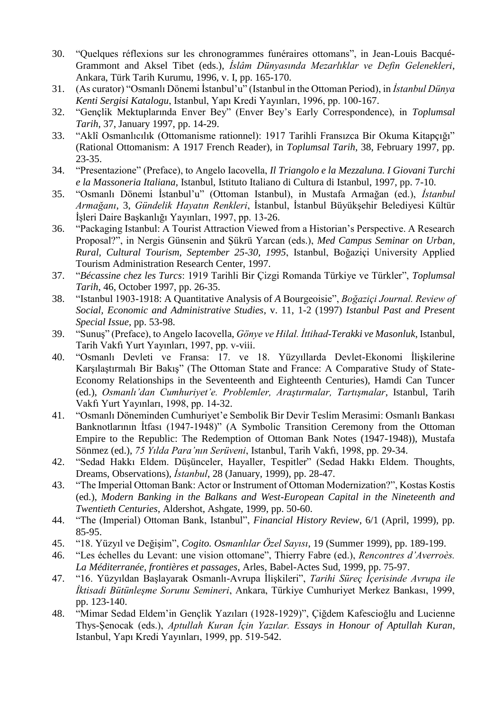- 30. "Quelques réflexions sur les chronogrammes funéraires ottomans", in Jean-Louis Bacqué-Grammont and Aksel Tibet (eds.), *İslâm Dünyasında Mezarlıklar ve Defin Gelenekleri*, Ankara, Türk Tarih Kurumu, 1996, v. I, pp. 165-170.
- 31. (As curator) "Osmanlı Dönemi İstanbul'u" (Istanbul in the Ottoman Period), in *İstanbul Dünya Kenti Sergisi Katalogu*, Istanbul, Yapı Kredi Yayınları, 1996, pp. 100-167.
- 32. "Gençlik Mektuplarında Enver Bey" (Enver Bey's Early Correspondence), in *Toplumsal Tarih*, 37, January 1997, pp. 14-29.
- 33. "Aklî Osmanlıcılık (Ottomanisme rationnel): 1917 Tarihli Fransızca Bir Okuma Kitapçığı" (Rational Ottomanism: A 1917 French Reader), in *Toplumsal Tarih*, 38, February 1997, pp. 23-35.
- 34. "Presentazione" (Preface), to Angelo Iacovella, *Il Triangolo e la Mezzaluna. I Giovani Turchi e la Massoneria Italiana*, Istanbul, Istituto Italiano di Cultura di Istanbul, 1997, pp. 7-10.
- 35. "Osmanlı Dönemi İstanbul'u" (Ottoman Istanbul), in Mustafa Armağan (ed.), *İstanbul Armağanı*, 3, *Gündelik Hayatın Renkleri*, İstanbul, İstanbul Büyükşehir Belediyesi Kültür İşleri Daire Başkanlığı Yayınları, 1997, pp. 13-26.
- 36. "Packaging Istanbul: A Tourist Attraction Viewed from a Historian's Perspective. A Research Proposal?", in Nergis Günsenin and Şükrü Yarcan (eds.), *Med Campus Seminar on Urban, Rural, Cultural Tourism, September 25-30, 1995*, Istanbul, Boğaziçi University Applied Tourism Administration Research Center, 1997.
- 37. "*Bécassine chez les Turcs*: 1919 Tarihli Bir Çizgi Romanda Türkiye ve Türkler", *Toplumsal Tarih*, 46, October 1997, pp. 26-35.
- 38. "Istanbul 1903-1918: A Quantitative Analysis of *A* Bourgeoisie", *Boğaziçi Journal. Review of Social, Economic and Administrative Studies*, v. 11, 1-2 (1997) *Istanbul Past and Present Special Issue*, pp. 53-98.
- 39. "Sunuş" (Preface), to Angelo Iacovella, *Gönye ve Hilal. İttihad-Terakki ve Masonluk*, Istanbul, Tarih Vakfı Yurt Yayınları, 1997, pp. v-viii.
- 40. "Osmanlı Devleti ve Fransa: 17. ve 18. Yüzyıllarda Devlet-Ekonomi İlişkilerine Karşılaştırmalı Bir Bakış" (The Ottoman State and France: A Comparative Study of State-Economy Relationships in the Seventeenth and Eighteenth Centuries), Hamdi Can Tuncer (ed.), *Osmanlı'dan Cumhuriyet'e. Problemler, Araştırmalar, Tartışmalar*, Istanbul, Tarih Vakfı Yurt Yayınları, 1998, pp. 14-32.
- 41. "Osmanlı Döneminden Cumhuriyet'e Sembolik Bir Devir Teslim Merasimi: Osmanlı Bankası Banknotlarının İtfası (1947-1948)" (A Symbolic Transition Ceremony from the Ottoman Empire to the Republic: The Redemption of Ottoman Bank Notes (1947-1948)), Mustafa Sönmez (ed.), *75 Yılda Para'nın Serüveni*, Istanbul, Tarih Vakfı, 1998, pp. 29-34.
- 42. "Sedad Hakkı Eldem. Düşünceler, Hayaller, Tespitler" (Sedad Hakkı Eldem. Thoughts, Dreams, Observations), *İstanbul*, 28 (January, 1999), pp. 28-47.
- 43. "The Imperial Ottoman Bank: Actor or Instrument of Ottoman Modernization?", Kostas Kostis (ed.), *Modern Banking in the Balkans and West-European Capital in the Nineteenth and Twentieth Centuries*, Aldershot, Ashgate, 1999, pp. 50-60.
- 44. "The (Imperial) Ottoman Bank, Istanbul", *Financial History Review*, 6/1 (April, 1999), pp. 85-95.
- 45. "18. Yüzyıl ve Değişim", *Cogito. Osmanlılar Özel Sayısı*, 19 (Summer 1999), pp. 189-199.
- 46. "Les échelles du Levant: une vision ottomane", Thierry Fabre (ed.), *Rencontres d'Averroès. La Méditerranée, frontières et passages*, Arles, Babel-Actes Sud, 1999, pp. 75-97.
- 47. "16. Yüzyıldan Başlayarak Osmanlı-Avrupa İlişkileri", *Tarihi Süreç İçerisinde Avrupa ile İktisadi Bütünleşme Sorunu Semineri*, Ankara, Türkiye Cumhuriyet Merkez Bankası, 1999, pp. 123-140.
- 48. "Mimar Sedad Eldem'in Gençlik Yazıları (1928-1929)", Çiğdem Kafescioğlu and Lucienne Thys-Şenocak (eds.), *Aptullah Kuran İçin Yazılar. Essays in Honour of Aptullah Kuran*, Istanbul, Yapı Kredi Yayınları, 1999, pp. 519-542.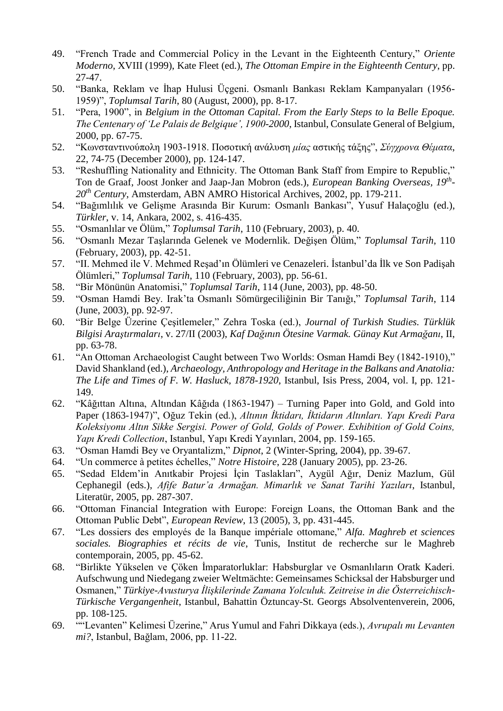- 49. "French Trade and Commercial Policy in the Levant in the Eighteenth Century," *Oriente Moderno*, XVIII (1999), Kate Fleet (ed.), *The Ottoman Empire in the Eighteenth Century*, pp. 27-47.
- 50. "Banka, Reklam ve İhap Hulusi Üçgeni. Osmanlı Bankası Reklam Kampanyaları (1956- 1959)", *Toplumsal Tarih*, 80 (August, 2000), pp. 8-17.
- 51. "Pera, 1900", in *Belgium in the Ottoman Capital. From the Early Steps to la Belle Epoque. The Centenary of 'Le Palais de Belgique', 1900-2000*, Istanbul, Consulate General of Belgium, 2000, pp. 67-75.
- 52. "Κωνσταντινούπολη 1903-1918. Ποσοτική ανάλυση *μίας* αστικής τάξης", *Σύγχρονα Θέματα*, 22, 74-75 (December 2000), pp. 124-147.
- 53. "Reshuffling Nationality and Ethnicity. The Ottoman Bank Staff from Empire to Republic," Ton de Graaf, Joost Jonker and Jaap-Jan Mobron (eds.), *European Banking Overseas, 19th - 20th Century*, Amsterdam, ABN AMRO Historical Archives, 2002, pp. 179-211.
- 54. "Bağımlılık ve Gelişme Arasında Bir Kurum: Osmanlı Bankası", Yusuf Halaçoğlu (ed.), *Türkler*, v. 14, Ankara, 2002, s. 416-435.
- 55. "Osmanlılar ve Ölüm," *Toplumsal Tarih*, 110 (February, 2003), p. 40.
- 56. "Osmanlı Mezar Taşlarında Gelenek ve Modernlik. Değişen Ölüm," *Toplumsal Tarih*, 110 (February, 2003), pp. 42-51.
- 57. "II. Mehmed ile V. Mehmed Reşad'ın Ölümleri ve Cenazeleri. İstanbul'da İlk ve Son Padişah Ölümleri," *Toplumsal Tarih*, 110 (February, 2003), pp. 56-61.
- 58. "Bir Mönünün Anatomisi," *Toplumsal Tarih*, 114 (June, 2003), pp. 48-50.
- 59. "Osman Hamdi Bey. Irak'ta Osmanlı Sömürgeciliğinin Bir Tanığı," *Toplumsal Tarih*, 114 (June, 2003), pp. 92-97.
- 60. "Bir Belge Üzerine Çeşitlemeler," Zehra Toska (ed.), *Journal of Turkish Studies. Türklük Bilgisi Araştırmaları*, v. 27/II (2003), *Kaf Dağının Ötesine Varmak. Günay Kut Armağanı*, II, pp. 63-78.
- 61. "An Ottoman Archaeologist Caught between Two Worlds: Osman Hamdi Bey (1842-1910)," David Shankland (ed.), *Archaeology, Anthropology and Heritage in the Balkans and Anatolia: The Life and Times of F. W. Hasluck, 1878-1920*, Istanbul, Isis Press, 2004, vol. I, pp. 121- 149.
- 62. "Kâğıttan Altına, Altından Kâğıda (1863-1947) Turning Paper into Gold, and Gold into Paper (1863-1947)", Oğuz Tekin (ed.), *Altının İktidarı, İktidarın Altınları. Yapı Kredi Para Koleksiyonu Altın Sikke Sergisi. Power of Gold, Golds of Power. Exhibition of Gold Coins, Yapı Kredi Collection*, Istanbul, Yapı Kredi Yayınları, 2004, pp. 159-165.
- 63. "Osman Hamdi Bey ve Oryantalizm," *Dipnot*, 2 (Winter-Spring, 2004), pp. 39-67.
- 64. "Un commerce à petites échelles," *Notre Histoire*, 228 (January 2005), pp. 23-26.
- 65. "Sedad Eldem'in Anıtkabir Projesi İçin Taslakları", Aygül Ağır, Deniz Mazlum, Gül Cephanegil (eds.), *Afife Batur'a Armağan. Mimarlık ve Sanat Tarihi Yazıları*, Istanbul, Literatür, 2005, pp. 287-307.
- 66. "Ottoman Financial Integration with Europe: Foreign Loans, the Ottoman Bank and the Ottoman Public Debt", *European Review*, 13 (2005), 3, pp. 431-445.
- 67. "Les dossiers des employés de la Banque impériale ottomane," *Alfa. Maghreb et sciences sociales. Biographies et récits de vie*, Tunis, Institut de recherche sur le Maghreb contemporain, 2005, pp. 45-62.
- 68. "Birlikte Yükselen ve Çöken İmparatorluklar: Habsburglar ve Osmanlıların Oratk Kaderi. Aufschwung und Niedegang zweier Weltmächte: Gemeinsames Schicksal der Habsburger und Osmanen," *Türkiye-Avusturya İlişkilerinde Zamana Yolculuk. Zeitreise in die Österreichisch-Türkische Vergangenheit*, Istanbul, Bahattin Öztuncay-St. Georgs Absolventenverein, 2006, pp. 108-125.
- 69. ""Levanten" Kelimesi Üzerine," Arus Yumul and Fahri Dikkaya (eds.), *Avrupalı mı Levanten mi?*, Istanbul, Bağlam, 2006, pp. 11-22.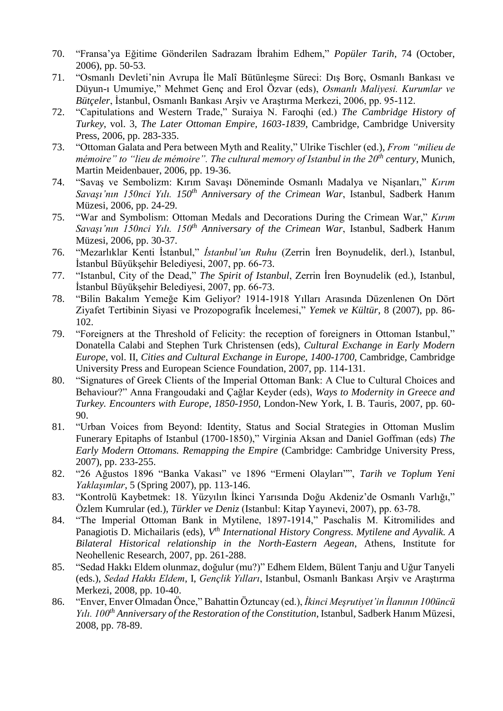- 70. "Fransa'ya Eğitime Gönderilen Sadrazam İbrahim Edhem," *Popüler Tarih*, 74 (October, 2006), pp. 50-53.
- 71. "Osmanlı Devleti'nin Avrupa İle Malî Bütünleşme Süreci: Dış Borç, Osmanlı Bankası ve Düyun-ı Umumiye," Mehmet Genç and Erol Özvar (eds), *Osmanlı Maliyesi. Kurumlar ve Bütçeler*, İstanbul, Osmanlı Bankası Arşiv ve Araştırma Merkezi, 2006, pp. 95-112.
- 72. "Capitulations and Western Trade," Suraiya N. Faroqhi (ed.) *The Cambridge History of Turkey*, vol. 3, *The Later Ottoman Empire, 1603-1839*, Cambridge, Cambridge University Press, 2006, pp. 283-335.
- 73. "Ottoman Galata and Pera between Myth and Reality," Ulrike Tischler (ed.), *From "milieu de mémoire" to "lieu de mémoire". The cultural memory of Istanbul in the 20th century*, Munich, Martin Meidenbauer, 2006, pp. 19-36.
- 74. "Savaş ve Sembolizm: Kırım Savaşı Döneminde Osmanlı Madalya ve Nişanları," *Kırım Savaşı'nın 150nci Yılı. 150th Anniversary of the Crimean War*, Istanbul, Sadberk Hanım Müzesi, 2006, pp. 24-29.
- 75. "War and Symbolism: Ottoman Medals and Decorations During the Crimean War," *Kırım Savaşı'nın 150nci Yılı. 150th Anniversary of the Crimean War*, Istanbul, Sadberk Hanım Müzesi, 2006, pp. 30-37.
- 76. "Mezarlıklar Kenti İstanbul," *İstanbul'un Ruhu* (Zerrin İren Boynudelik, derl.), Istanbul, İstanbul Büyükşehir Belediyesi, 2007, pp. 66-73.
- 77. "Istanbul, City of the Dead," *The Spirit of Istanbul*, Zerrin İren Boynudelik (ed.), Istanbul, İstanbul Büyükşehir Belediyesi, 2007, pp. 66-73.
- 78. "Bilin Bakalım Yemeğe Kim Geliyor? 1914-1918 Yılları Arasında Düzenlenen On Dört Ziyafet Tertibinin Siyasi ve Prozopografik İncelemesi," *Yemek ve Kültür*, 8 (2007), pp. 86- 102.
- 79. "Foreigners at the Threshold of Felicity: the reception of foreigners in Ottoman Istanbul," Donatella Calabi and Stephen Turk Christensen (eds), *Cultural Exchange in Early Modern Europe*, vol. II, *Cities and Cultural Exchange in Europe, 1400-1700*, Cambridge, Cambridge University Press and European Science Foundation, 2007, pp. 114-131.
- 80. "Signatures of Greek Clients of the Imperial Ottoman Bank: A Clue to Cultural Choices and Behaviour?" Anna Frangoudaki and Çağlar Keyder (eds), *Ways to Modernity in Greece and Turkey. Encounters with Europe, 1850-1950*, London-New York, I. B. Tauris, 2007, pp. 60- 90.
- 81. "Urban Voices from Beyond: Identity, Status and Social Strategies in Ottoman Muslim Funerary Epitaphs of Istanbul (1700-1850)," Virginia Aksan and Daniel Goffman (eds) *The Early Modern Ottomans. Remapping the Empire* (Cambridge: Cambridge University Press, 2007), pp. 233-255.
- 82. "26 Ağustos 1896 "Banka Vakası" ve 1896 "Ermeni Olayları"", *Tarih ve Toplum Yeni Yaklaşımlar*, 5 (Spring 2007), pp. 113-146.
- 83. "Kontrolü Kaybetmek: 18. Yüzyılın İkinci Yarısında Doğu Akdeniz'de Osmanlı Varlığı," Özlem Kumrular (ed.), *Türkler ve Deniz* (Istanbul: Kitap Yayınevi, 2007), pp. 63-78.
- 84. "The Imperial Ottoman Bank in Mytilene, 1897-1914," Paschalis M. Kitromilides and Panagiotis D. Michailaris (eds),  $V^{th}$  *International History Congress. Mytilene and Ayvalik. A Bilateral Historical relationship in the North-Eastern Aegean*, Athens, Institute for Neohellenic Research, 2007, pp. 261-288.
- 85. "Sedad Hakkı Eldem olunmaz, doğulur (mu?)" Edhem Eldem, Bülent Tanju and Uğur Tanyeli (eds.), *Sedad Hakkı Eldem*, I, *Gençlik Yılları*, Istanbul, Osmanlı Bankası Arşiv ve Araştırma Merkezi, 2008, pp. 10-40.
- 86. "Enver, Enver Olmadan Önce," Bahattin Öztuncay (ed.), *İkinci Meşrutiyet'in İlanının 100üncü Yılı. 100th Anniversary of the Restoration of the Constitution*, Istanbul, Sadberk Hanım Müzesi, 2008, pp. 78-89.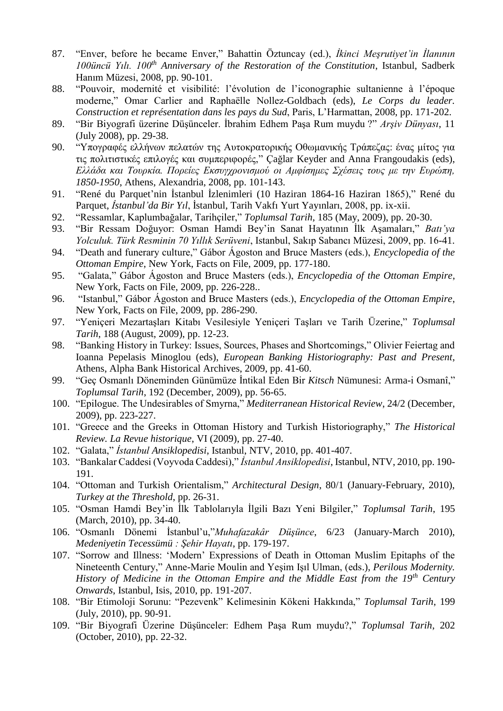- 87. "Enver, before he became Enver," Bahattin Öztuncay (ed.), *İkinci Meşrutiyet'in İlanının 100üncü Yılı. 100th Anniversary of the Restoration of the Constitution*, Istanbul, Sadberk Hanım Müzesi, 2008, pp. 90-101.
- 88. "Pouvoir, modernité et visibilité: l'évolution de l'iconographie sultanienne à l'époque moderne," Omar Carlier and Raphaëlle Nollez-Goldbach (eds), *Le Corps du leader. Construction et représentation dans les pays du Sud*, Paris, L'Harmattan, 2008, pp. 171-202.
- 89. "Bir Biyografi üzerine Düşünceler. İbrahim Edhem Paşa Rum muydu ?" *Arşiv Dünyası*, 11 (July 2008), pp. 29-38.
- 90. "Υπογραφές ελλήνων πελατών της Αυτοκρατορικής Οθωμανικής Τράπεζας: ένας μίτος για τις πολιτιστικές επιλογές και συμπεριφορές," Çağlar Keyder and Anna Frangoudakis (eds), *Ελλάδα και Τουρκία. Πορείες Εκσυγχρονισμού οι Αμφίσημες Σχέσεις τους με την Ευρώπη, 1850-1950*, Athens, Alexandria, 2008, pp. 101-143.
- 91. "René du Parquet'nin İstanbul İzlenimleri (10 Haziran 1864-16 Haziran 1865)," René du Parquet, *İstanbul'da Bir Yıl*, İstanbul, Tarih Vakfı Yurt Yayınları, 2008, pp. ix-xii.
- 92. "Ressamlar, Kaplumbağalar, Tarihçiler," *Toplumsal Tarih*, 185 (May, 2009), pp. 20-30.
- 93. "Bir Ressam Doğuyor: Osman Hamdi Bey'in Sanat Hayatının İlk Aşamaları," *Batı'ya Yolculuk. Türk Resminin 70 Yıllık Serüveni*, Istanbul, Sakıp Sabancı Müzesi, 2009, pp. 16-41.
- 94. "Death and funerary culture," Gábor Ágoston and Bruce Masters (eds.), *Encyclopedia of the Ottoman Empire*, New York, Facts on File, 2009, pp. 177-180.
- 95. "Galata," Gábor Ágoston and Bruce Masters (eds.), *Encyclopedia of the Ottoman Empire*, New York, Facts on File, 2009, pp. 226-228..
- 96. "Istanbul," Gábor Ágoston and Bruce Masters (eds.), *Encyclopedia of the Ottoman Empire*, New York, Facts on File, 2009, pp. 286-290.
- 97. "Yeniçeri Mezartaşları Kitabı Vesilesiyle Yeniçeri Taşları ve Tarih Üzerine," *Toplumsal Tarih*, 188 (August, 2009), pp. 12-23.
- 98. "Banking History in Turkey: Issues, Sources, Phases and Shortcomings," Olivier Feiertag and Ioanna Pepelasis Minoglou (eds), *European Banking Historiography: Past and Present*, Athens, Alpha Bank Historical Archives, 2009, pp. 41-60.
- 99. "Geç Osmanlı Döneminden Günümüze İntikal Eden Bir *Kitsch* Nümunesi: Arma-i Osmanî," *Toplumsal Tarih*, 192 (December, 2009), pp. 56-65.
- 100. "Epilogue. The Undesirables of Smyrna," *Mediterranean Historical Review*, 24/2 (December, 2009), pp. 223-227.
- 101. "Greece and the Greeks in Ottoman History and Turkish Historiography," *The Historical Review. La Revue historique*, VI (2009), pp. 27-40.
- 102. "Galata," *İstanbul Ansiklopedisi*, Istanbul, NTV, 2010, pp. 401-407.
- 103. "Bankalar Caddesi (Voyvoda Caddesi)," *İstanbul Ansiklopedisi*, Istanbul, NTV, 2010, pp. 190- 191.
- 104. "Ottoman and Turkish Orientalism," *Architectural Design*, 80/1 (January-February, 2010), *Turkey at the Threshold*, pp. 26-31.
- 105. "Osman Hamdi Bey'in İlk Tablolarıyla İlgili Bazı Yeni Bilgiler," *Toplumsal Tarih*, 195 (March, 2010), pp. 34-40.
- 106. "Osmanlı Dönemi İstanbul'u,"*Muhafazakâr Düşünce*, 6/23 (January-March 2010), *Medeniyetin Tecessümü : Şehir Hayatı*, pp. 179-197.
- 107. "Sorrow and Illness: 'Modern' Expressions of Death in Ottoman Muslim Epitaphs of the Nineteenth Century," Anne-Marie Moulin and Yeşim Işıl Ulman, (eds.), *Perilous Modernity. History of Medicine in the Ottoman Empire and the Middle East from the 19th Century Onwards*, Istanbul, Isis, 2010, pp. 191-207.
- 108. "Bir Etimoloji Sorunu: "Pezevenk" Kelimesinin Kökeni Hakkında," *Toplumsal Tarih*, 199 (July, 2010), pp. 90-91.
- 109. "Bir Biyografi Üzerine Düşünceler: Edhem Paşa Rum muydu?," *Toplumsal Tarih*, 202 (October, 2010), pp. 22-32.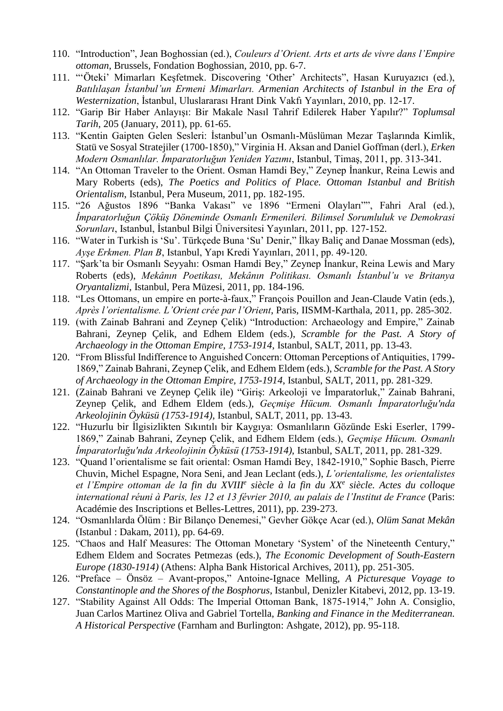- 110. "Introduction", Jean Boghossian (ed.), *Couleurs d'Orient. Arts et arts de vivre dans l'Empire ottoman*, Brussels, Fondation Boghossian, 2010, pp. 6-7.
- 111. "'Öteki' Mimarları Keşfetmek. Discovering 'Other' Architects", Hasan Kuruyazıcı (ed.), *Batılılaşan İstanbul'un Ermeni Mimarları. Armenian Architects of Istanbul in the Era of Westernization*, İstanbul, Uluslararası Hrant Dink Vakfı Yayınları, 2010, pp. 12-17.
- 112. "Garip Bir Haber Anlayışı: Bir Makale Nasıl Tahrif Edilerek Haber Yapılır?" *Toplumsal Tarih*, 205 (January, 2011), pp. 61-65.
- 113. "Kentin Gaipten Gelen Sesleri: İstanbul'un Osmanlı-Müslüman Mezar Taşlarında Kimlik, Statü ve Sosyal Stratejiler (1700-1850)," Virginia H. Aksan and Daniel Goffman (derl.), *Erken Modern Osmanlılar. İmparatorluğun Yeniden Yazımı*, Istanbul, Timaş, 2011, pp. 313-341.
- 114. "An Ottoman Traveler to the Orient. Osman Hamdi Bey," Zeynep İnankur, Reina Lewis and Mary Roberts (eds), *The Poetics and Politics of Place. Ottoman Istanbul and British Orientalism*, Istanbul, Pera Museum, 2011, pp. 182-195.
- 115. "26 Ağustos 1896 "Banka Vakası" ve 1896 "Ermeni Olayları"", Fahri Aral (ed.), *İmparatorluğun Çöküş Döneminde Osmanlı Ermenileri. Bilimsel Sorumluluk ve Demokrasi Sorunları*, Istanbul, İstanbul Bilgi Üniversitesi Yayınları, 2011, pp. 127-152.
- 116. "Water in Turkish is 'Su'. Türkçede Buna 'Su' Denir," İlkay Baliç and Danae Mossman (eds), *Ayşe Erkmen. Plan B*, Istanbul, Yapı Kredi Yayınları, 2011, pp. 49-120.
- 117. "Şark'ta bir Osmanlı Seyyahı: Osman Hamdi Bey," Zeynep İnankur, Reina Lewis and Mary Roberts (eds), *Mekânın Poetikası, Mekânın Politikası. Osmanlı İstanbul'u ve Britanya Oryantalizmi*, Istanbul, Pera Müzesi, 2011, pp. 184-196.
- 118. "Les Ottomans, un empire en porte-à-faux," François Pouillon and Jean-Claude Vatin (eds.), *Après l'orientalisme. L'Orient crée par l'Orient*, Paris, IISMM-Karthala, 2011, pp. 285-302.
- 119. (with Zainab Bahrani and Zeynep Çelik) "Introduction: Archaeology and Empire," Zainab Bahrani, Zeynep Çelik, and Edhem Eldem (eds.), *Scramble for the Past. A Story of Archaeology in the Ottoman Empire, 1753-1914*, Istanbul, SALT, 2011, pp. 13-43.
- 120. "From Blissful Indifference to Anguished Concern: Ottoman Perceptions of Antiquities, 1799- 1869," Zainab Bahrani, Zeynep Çelik, and Edhem Eldem (eds.), *Scramble for the Past. A Story of Archaeology in the Ottoman Empire, 1753-1914*, Istanbul, SALT, 2011, pp. 281-329.
- 121. (Zainab Bahrani ve Zeynep Çelik ile) "Giriş: Arkeoloji ve İmparatorluk," Zainab Bahrani, Zeynep Çelik, and Edhem Eldem (eds.), *Geçmişe Hücum. Osmanlı İmparatorluğu'nda Arkeolojinin Öyküsü (1753-1914)*, Istanbul, SALT, 2011, pp. 13-43.
- 122. "Huzurlu bir İlgisizlikten Sıkıntılı bir Kaygıya: Osmanlıların Gözünde Eski Eserler, 1799- 1869," Zainab Bahrani, Zeynep Çelik, and Edhem Eldem (eds.), *Geçmişe Hücum. Osmanlı İmparatorluğu'nda Arkeolojinin Öyküsü (1753-1914)*, Istanbul, SALT, 2011, pp. 281-329.
- 123. "Quand l'orientalisme se fait oriental: Osman Hamdi Bey, 1842-1910," Sophie Basch, Pierre Chuvin, Michel Espagne, Nora Seni, and Jean Leclant (eds.), *L'orientalisme, les orientalistes et l'Empire ottoman de la fin du XVIII<sup>e</sup> siècle à la fin du XX<sup>e</sup> siècle. Actes du colloque international réuni à Paris, les 12 et 13 février 2010, au palais de l'Institut de France* (Paris: Académie des Inscriptions et Belles-Lettres, 2011), pp. 239-273.
- 124. "Osmanlılarda Ölüm : Bir Bilanço Denemesi," Gevher Gökçe Acar (ed.), *Olüm Sanat Mekân* (Istanbul : Dakam, 2011), pp. 64-69.
- 125. "Chaos and Half Measures: The Ottoman Monetary 'System' of the Nineteenth Century," Edhem Eldem and Socrates Petmezas (eds.), *The Economic Development of South-Eastern Europe (1830-1914)* (Athens: Alpha Bank Historical Archives, 2011), pp. 251-305.
- 126. "Preface Önsöz Avant-propos," Antoine-Ignace Melling, *A Picturesque Voyage to Constantinople and the Shores of the Bosphorus*, Istanbul, Denizler Kitabevi, 2012, pp. 13-19.
- 127. "Stability Against All Odds: The Imperial Ottoman Bank, 1875-1914," John A. Consiglio, Juan Carlos Martinez Oliva and Gabriel Tortella, *Banking and Finance in the Mediterranean. A Historical Perspective* (Farnham and Burlington: Ashgate, 2012), pp. 95-118.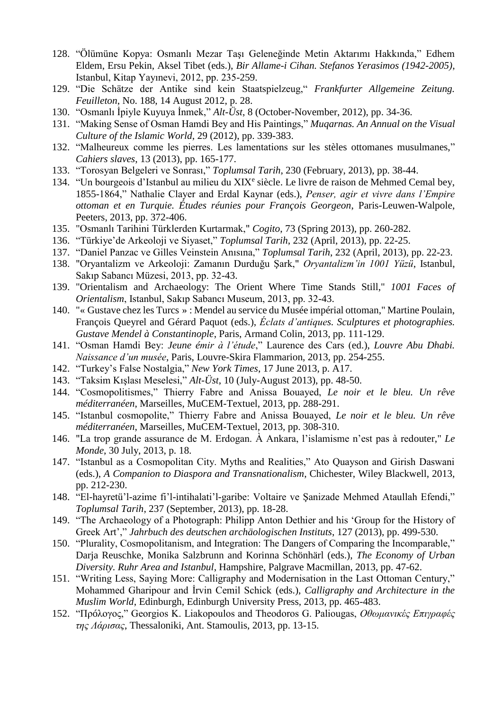- 128. "Ölümüne Kopya: Osmanlı Mezar Taşı Geleneğinde Metin Aktarımı Hakkında," Edhem Eldem, Ersu Pekin, Aksel Tibet (eds.), *Bir Allame-i Cihan. Stefanos Yerasimos (1942-2005)*, Istanbul, Kitap Yayınevi, 2012, pp. 235-259.
- 129. "Die Schätze der Antike sind kein Staatspielzeug," *Frankfurter Allgemeine Zeitung. Feuilleton*, No. 188, 14 August 2012, p. 28.
- 130. "Osmanlı İpiyle Kuyuya İnmek," *Alt-Üst*, 8 (October-November, 2012), pp. 34-36.
- 131. "Making Sense of Osman Hamdi Bey and His Paintings," *Muqarnas. An Annual on the Visual Culture of the Islamic World*, 29 (2012), pp. 339-383.
- 132. "Malheureux comme les pierres. Les lamentations sur les stèles ottomanes musulmanes," *Cahiers slaves*, 13 (2013), pp. 165-177.
- 133. "Torosyan Belgeleri ve Sonrası," *Toplumsal Tarih*, 230 (February, 2013), pp. 38-44.
- 134. "Un bourgeois d'Istanbul au milieu du XIX<sup>e</sup> siècle. Le livre de raison de Mehmed Cemal bey, 1855-1864," Nathalie Clayer and Erdal Kaynar (eds.), *Penser, agir et vivre dans l'Empire ottoman et en Turquie. Études réunies pour François Georgeon*, Paris-Leuwen-Walpole, Peeters, 2013, pp. 372-406.
- 135. "Osmanlı Tarihini Türklerden Kurtarmak," *Cogito*, 73 (Spring 2013), pp. 260-282.
- 136. "Türkiye'de Arkeoloji ve Siyaset," *Toplumsal Tarih*, 232 (April, 2013), pp. 22-25.
- 137. "Daniel Panzac ve Gilles Veinstein Anısına," *Toplumsal Tarih*, 232 (April, 2013), pp. 22-23.
- 138. "Oryantalizm ve Arkeoloji: Zamanın Durduğu Şark," *Oryantalizm'in 1001 Yüzü*, Istanbul, Sakıp Sabancı Müzesi, 2013, pp. 32-43.
- 139. "Orientalism and Archaeology: The Orient Where Time Stands Still," *1001 Faces of Orientalism*, Istanbul, Sakıp Sabancı Museum, 2013, pp. 32-43.
- 140. "« Gustave chez les Turcs » : Mendel au service du Musée impérial ottoman," Martine Poulain, François Queyrel and Gérard Paquot (eds.), *Éclats d'antiques. Sculptures et photographies. Gustave Mendel à Constantinople*, Paris, Armand Colin, 2013, pp. 111-129.
- 141. "Osman Hamdi Bey: *Jeune émir à l'étude*," Laurence des Cars (ed.), *Louvre Abu Dhabi. Naissance d'un musée*, Paris, Louvre-Skira Flammarion, 2013, pp. 254-255.
- 142. "Turkey's False Nostalgia," *New York Times*, 17 June 2013, p. A17.
- 143. "Taksim Kışlası Meselesi," *Alt-Üst*, 10 (July-August 2013), pp. 48-50.
- 144. "Cosmopolitismes," Thierry Fabre and Anissa Bouayed, *Le noir et le bleu. Un rêve méditerranéen*, Marseilles, MuCEM-Textuel, 2013, pp. 288-291.
- 145. "Istanbul cosmopolite," Thierry Fabre and Anissa Bouayed, *Le noir et le bleu. Un rêve méditerranéen*, Marseilles, MuCEM-Textuel, 2013, pp. 308-310.
- 146. "La trop grande assurance de M. Erdogan. À Ankara, l'islamisme n'est pas à redouter," *Le Monde*, 30 July, 2013, p. 18.
- 147. "Istanbul as a Cosmopolitan City. Myths and Realities," Ato Quayson and Girish Daswani (eds.), *A Companion to Diaspora and Transnationalism*, Chichester, Wiley Blackwell, 2013, pp. 212-230.
- 148. "El-hayretü'l-azime fi'l-intihalati'l-garibe: Voltaire ve Şanizade Mehmed Ataullah Efendi," *Toplumsal Tarih*, 237 (September, 2013), pp. 18-28.
- 149. "The Archaeology of a Photograph: Philipp Anton Dethier and his 'Group for the History of Greek Art'," *Jahrbuch des deutschen archäologischen Instituts*, 127 (2013), pp. 499-530.
- 150. "Plurality, Cosmopolitanism, and Integration: The Dangers of Comparing the Incomparable," Darja Reuschke, Monika Salzbrunn and Korinna Schönhärl (eds.), *The Economy of Urban Diversity. Ruhr Area and Istanbul*, Hampshire, Palgrave Macmillan, 2013, pp. 47-62.
- 151. "Writing Less, Saying More: Calligraphy and Modernisation in the Last Ottoman Century," Mohammed Gharipour and İrvin Cemil Schick (eds.), *Calligraphy and Architecture in the Muslim World*, Edinburgh, Edinburgh University Press, 2013, pp. 465-483.
- 152. "Πρóλογος," Georgios K. Liakopoulos and Theodoros G. Paliougas, *Οθωμανικές Επιγραφές της Λάρισας*, Thessaloniki, Ant. Stamoulis, 2013, pp. 13-15.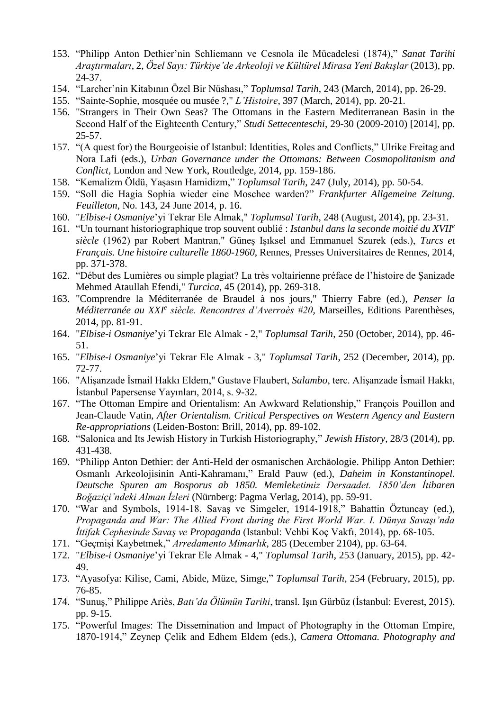- 153. "Philipp Anton Dethier'nin Schliemann ve Cesnola ile Mücadelesi (1874)," *Sanat Tarihi Araştırmaları*, 2, *Özel Sayı: Türkiye'de Arkeoloji ve Kültürel Mirasa Yeni Bakışlar* (2013), pp. 24-37.
- 154. "Larcher'nin Kitabının Özel Bir Nüshası," *Toplumsal Tarih*, 243 (March, 2014), pp. 26-29.
- 155. "Sainte-Sophie, mosquée ou musée ?," *L'Histoire*, 397 (March, 2014), pp. 20-21.
- 156. "Strangers in Their Own Seas? The Ottomans in the Eastern Mediterranean Basin in the Second Half of the Eighteenth Century," *Studi Settecenteschi*, 29-30 (2009-2010) [2014], pp. 25-57.
- 157. "(A quest for) the Bourgeoisie of Istanbul: Identities, Roles and Conflicts," Ulrike Freitag and Nora Lafi (eds.), *Urban Governance under the Ottomans: Between Cosmopolitanism and Conflict*, London and New York, Routledge, 2014, pp. 159-186.
- 158. "Kemalizm Öldü, Yaşasın Hamidizm," *Toplumsal Tarih*, 247 (July, 2014), pp. 50-54.
- 159. "Soll die Hagia Sophia wieder eine Moschee warden?" *Frankfurter Allgemeine Zeitung. Feuilleton*, No. 143, 24 June 2014, p. 16.
- 160. "*Elbise-i Osmaniye*'yi Tekrar Ele Almak," *Toplumsal Tarih*, 248 (August, 2014), pp. 23-31.
- 161. "Un tournant historiographique trop souvent oublié : *Istanbul dans la seconde moitié du XVII<sup>e</sup> siècle* (1962) par Robert Mantran," Güneş Işıksel and Emmanuel Szurek (eds.), *Turcs et Français. Une histoire culturelle 1860-1960*, Rennes, Presses Universitaires de Rennes, 2014, pp. 371-378.
- 162. "Début des Lumières ou simple plagiat? La très voltairienne préface de l'histoire de Şanizade Mehmed Ataullah Efendi," *Turcica*, 45 (2014), pp. 269-318.
- 163. "Comprendre la Méditerranée de Braudel à nos jours," Thierry Fabre (ed.), *Penser la Méditerranée au XXI<sup>e</sup> siècle. Rencontres d'Averroès #20*, Marseilles, Editions Parenthèses, 2014, pp. 81-91.
- 164. "*Elbise-i Osmaniye*'yi Tekrar Ele Almak 2," *Toplumsal Tarih*, 250 (October, 2014), pp. 46- 51.
- 165. "*Elbise-i Osmaniye*'yi Tekrar Ele Almak 3," *Toplumsal Tarih*, 252 (December, 2014), pp. 72-77.
- 166. "Alişanzade İsmail Hakkı Eldem," Gustave Flaubert, *Salambo*, terc. Alişanzade İsmail Hakkı, İstanbul Papersense Yayınları, 2014, s. 9-32.
- 167. "The Ottoman Empire and Orientalism: An Awkward Relationship," François Pouillon and Jean-Claude Vatin, *After Orientalism. Critical Perspectives on Western Agency and Eastern Re-appropriations* (Leiden-Boston: Brill, 2014), pp. 89-102.
- 168. "Salonica and Its Jewish History in Turkish Historiography," *Jewish History*, 28/3 (2014), pp. 431-438.
- 169. "Philipp Anton Dethier: der Anti-Held der osmanischen Archäologie. Philipp Anton Dethier: Osmanlı Arkeolojisinin Anti-Kahramanı," Erald Pauw (ed.), *Daheim in Konstantinopel. Deutsche Spuren am Bosporus ab 1850. Memleketimiz Dersaadet. 1850'den İtibaren Boğaziçi'ndeki Alman İzleri* (Nürnberg: Pagma Verlag, 2014), pp. 59-91.
- 170. "War and Symbols, 1914-18. Savaş ve Simgeler, 1914-1918," Bahattin Öztuncay (ed.), *Propaganda and War: The Allied Front during the First World War. I. Dünya Savaşı'nda İttifak Cephesinde Savaş ve Propaganda* (Istanbul: Vehbi Koç Vakfı, 2014), pp. 68-105.
- 171. "Geçmişi Kaybetmek," *Arredamento Mimarlık*, 285 (December 2104), pp. 63-64.
- 172. "*Elbise-i Osmaniye*'yi Tekrar Ele Almak 4," *Toplumsal Tarih*, 253 (January, 2015), pp. 42- 49.
- 173. "Ayasofya: Kilise, Cami, Abide, Müze, Simge," *Toplumsal Tarih*, 254 (February, 2015), pp. 76-85.
- 174. "Sunuş," Philippe Ariès, *Batı'da Ölümün Tarihi*, transl. Işın Gürbüz (İstanbul: Everest, 2015), pp. 9-15.
- 175. "Powerful Images: The Dissemination and Impact of Photography in the Ottoman Empire, 1870-1914," Zeynep Çelik and Edhem Eldem (eds.), *Camera Ottomana. Photography and*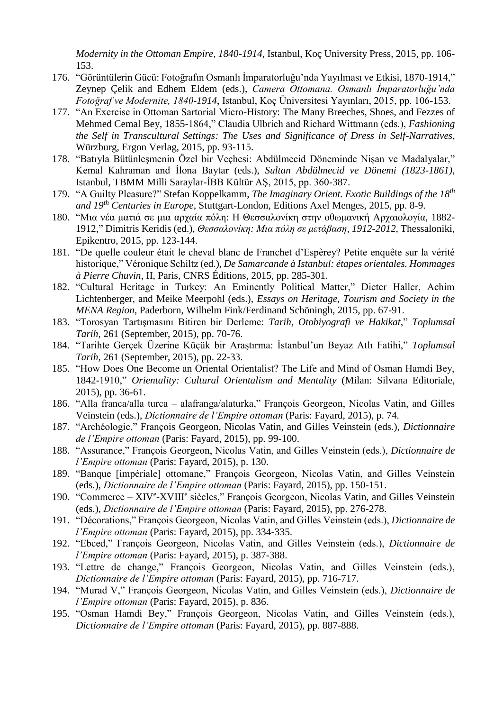*Modernity in the Ottoman Empire, 1840-1914*, Istanbul, Koç University Press, 2015, pp. 106- 153.

- 176. "Görüntülerin Gücü: Fotoğrafın Osmanlı İmparatorluğu'nda Yayılması ve Etkisi, 1870-1914," Zeynep Çelik and Edhem Eldem (eds.), *Camera Ottomana. Osmanlı İmparatorluğu'nda Fotoğraf ve Modernite, 1840-1914*, Istanbul, Koç Üniversitesi Yayınları, 2015, pp. 106-153.
- 177. "An Exercise in Ottoman Sartorial Micro-History: The Many Breeches, Shoes, and Fezzes of Mehmed Cemal Bey, 1855-1864," Claudia Ulbrich and Richard Wittmann (eds.), *Fashioning the Self in Transcultural Settings: The Uses and Significance of Dress in Self-Narratives*, Würzburg, Ergon Verlag, 2015, pp. 93-115.
- 178. "Batıyla Bütünleşmenin Özel bir Veçhesi: Abdülmecid Döneminde Nişan ve Madalyalar," Kemal Kahraman and İlona Baytar (eds.), *Sultan Abdülmecid ve Dönemi (1823-1861)*, Istanbul, TBMM Milli Saraylar-İBB Kültür AŞ, 2015, pp. 360-387.
- 179. "A Guilty Pleasure?" Stefan Koppelkamm, *The Imaginary Orient. Exotic Buildings of the 18th and 19th Centuries in Europe*, Stuttgart-London, Editions Axel Menges, 2015, pp. 8-9.
- 180. "Μια νέα ματιά σε μια αρχαία πόλη: Η Θεσσαλονίκη στην οθωμανική Αρχαιολογία, 1882- 1912," Dimitris Keridis (ed.), *Θεσσαλονίκη: Μια πόλη σε μετάβαση, 1912-2012*, Thessaloniki, Epikentro, 2015, pp. 123-144.
- 181. "De quelle couleur était le cheval blanc de Franchet d'Espèrey? Petite enquête sur la vérité historique," Véronique Schiltz (ed.), *De Samarcande à Istanbul: étapes orientales. Hommages à Pierre Chuvin*, II, Paris, CNRS Éditions, 2015, pp. 285-301.
- 182. "Cultural Heritage in Turkey: An Eminently Political Matter," Dieter Haller, Achim Lichtenberger, and Meike Meerpohl (eds.), *Essays on Heritage, Tourism and Society in the MENA Region*, Paderborn, Wilhelm Fink/Ferdinand Schöningh, 2015, pp. 67-91.
- 183. "Torosyan Tartışmasını Bitiren bir Derleme: *Tarih, Otobiyografi ve Hakikat*," *Toplumsal Tarih*, 261 (September, 2015), pp. 70-76.
- 184. "Tarihte Gerçek Üzerine Küçük bir Araştırma: İstanbul'un Beyaz Atlı Fatihi," *Toplumsal Tarih*, 261 (September, 2015), pp. 22-33.
- 185. "How Does One Become an Oriental Orientalist? The Life and Mind of Osman Hamdi Bey, 1842-1910," *Orientality: Cultural Orientalism and Mentality* (Milan: Silvana Editoriale, 2015), pp. 36-61.
- 186. "Alla franca/alla turca alafranga/alaturka," François Georgeon, Nicolas Vatin, and Gilles Veinstein (eds.), *Dictionnaire de l'Empire ottoman* (Paris: Fayard, 2015), p. 74.
- 187. "Archéologie," François Georgeon, Nicolas Vatin, and Gilles Veinstein (eds.), *Dictionnaire de l'Empire ottoman* (Paris: Fayard, 2015), pp. 99-100.
- 188. "Assurance," François Georgeon, Nicolas Vatin, and Gilles Veinstein (eds.), *Dictionnaire de l'Empire ottoman* (Paris: Fayard, 2015), p. 130.
- 189. "Banque [impériale] ottomane," François Georgeon, Nicolas Vatin, and Gilles Veinstein (eds.), *Dictionnaire de l'Empire ottoman* (Paris: Fayard, 2015), pp. 150-151.
- 190. "Commerce XIV<sup>e</sup>-XVIII<sup>e</sup> siècles," François Georgeon, Nicolas Vatin, and Gilles Veinstein (eds.), *Dictionnaire de l'Empire ottoman* (Paris: Fayard, 2015), pp. 276-278.
- 191. "Décorations," François Georgeon, Nicolas Vatin, and Gilles Veinstein (eds.), *Dictionnaire de l'Empire ottoman* (Paris: Fayard, 2015), pp. 334-335.
- 192. "Ebced," François Georgeon, Nicolas Vatin, and Gilles Veinstein (eds.), *Dictionnaire de l'Empire ottoman* (Paris: Fayard, 2015), p. 387-388.
- 193. "Lettre de change," François Georgeon, Nicolas Vatin, and Gilles Veinstein (eds.), *Dictionnaire de l'Empire ottoman* (Paris: Fayard, 2015), pp. 716-717.
- 194. "Murad V," François Georgeon, Nicolas Vatin, and Gilles Veinstein (eds.), *Dictionnaire de l'Empire ottoman* (Paris: Fayard, 2015), p. 836.
- 195. "Osman Hamdi Bey," François Georgeon, Nicolas Vatin, and Gilles Veinstein (eds.), *Dictionnaire de l'Empire ottoman* (Paris: Fayard, 2015), pp. 887-888.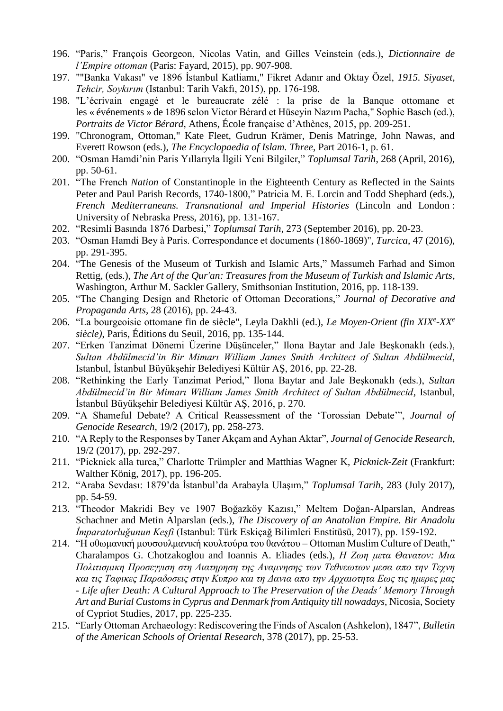- 196. "Paris," François Georgeon, Nicolas Vatin, and Gilles Veinstein (eds.), *Dictionnaire de l'Empire ottoman* (Paris: Fayard, 2015), pp. 907-908.
- 197. ""Banka Vakası" ve 1896 İstanbul Katliamı," Fikret Adanır and Oktay Özel, *1915. Siyaset, Tehcir, Soykırım* (Istanbul: Tarih Vakfı, 2015), pp. 176-198.
- 198. "L'écrivain engagé et le bureaucrate zélé : la prise de la Banque ottomane et les « événements » de 1896 selon Victor Bérard et Hüseyin Nazım Pacha," Sophie Basch (ed.), *Portraits de Victor Bérard*, Athens, École française d'Athènes, 2015, pp. 209-251.
- 199. "Chronogram, Ottoman," Kate Fleet, Gudrun Krämer, Denis Matringe, John Nawas, and Everett Rowson (eds.), *The Encyclopaedia of Islam. Three*, Part 2016-1, p. 61.
- 200. "Osman Hamdi'nin Paris Yıllarıyla İlgili Yeni Bilgiler," *Toplumsal Tarih*, 268 (April, 2016), pp. 50-61.
- 201. "The French *Nation* of Constantinople in the Eighteenth Century as Reflected in the Saints Peter and Paul Parish Records, 1740-1800," Patricia M. E. Lorcin and Todd Shephard (eds.), *French Mediterraneans. Transnational and Imperial Histories* (Lincoln and London : University of Nebraska Press, 2016), pp. 131-167.
- 202. "Resimli Basında 1876 Darbesi," *Toplumsal Tarih*, 273 (September 2016), pp. 20-23.
- 203. "Osman Hamdi Bey à Paris. Correspondance et documents (1860-1869)", *Turcica*, 47 (2016), pp. 291-395.
- 204. "The Genesis of the Museum of Turkish and Islamic Arts," Massumeh Farhad and Simon Rettig, (eds.), *The Art of the Qur'an: Treasures from the Museum of Turkish and Islamic Arts*, Washington, Arthur M. Sackler Gallery, Smithsonian Institution, 2016, pp. 118-139.
- 205. "The Changing Design and Rhetoric of Ottoman Decorations," *Journal of Decorative and Propaganda Arts*, 28 (2016), pp. 24-43.
- 206. "La bourgeoisie ottomane fin de siècle", Leyla Dakhli (ed.), *Le Moyen-Orient (fin XIX<sup>e</sup> -XX<sup>e</sup> siècle)*, Paris, Éditions du Seuil, 2016, pp. 135-144.
- 207. "Erken Tanzimat Dönemi Üzerine Düşünceler," Ilona Baytar and Jale Beşkonaklı (eds.), *Sultan Abdülmecid'in Bir Mimarı William James Smith Architect of Sultan Abdülmecid*, Istanbul, İstanbul Büyükşehir Belediyesi Kültür AŞ, 2016, pp. 22-28.
- 208. "Rethinking the Early Tanzimat Period," Ilona Baytar and Jale Beşkonaklı (eds.), *Sultan Abdülmecid'in Bir Mimarı William James Smith Architect of Sultan Abdülmecid*, Istanbul, İstanbul Büyükşehir Belediyesi Kültür AŞ, 2016, p. 270.
- 209. "A Shameful Debate? A Critical Reassessment of the 'Torossian Debate'", *Journal of Genocide Research*, 19/2 (2017), pp. 258-273.
- 210. "A Reply to the Responses by Taner Akçam and Ayhan Aktar", *Journal of Genocide Research*, 19/2 (2017), pp. 292-297.
- 211. "Picknick alla turca," Charlotte Trümpler and Matthias Wagner K, *Picknick-Zeit* (Frankfurt: Walther König, 2017), pp. 196-205.
- 212. "Araba Sevdası: 1879'da İstanbul'da Arabayla Ulaşım," *Toplumsal Tarih*, 283 (July 2017), pp. 54-59.
- 213. "Theodor Makridi Bey ve 1907 Boğazköy Kazısı," Meltem Doğan-Alparslan, Andreas Schachner and Metin Alparslan (eds.), *The Discovery of an Anatolian Empire. Bir Anadolu İmparatorluğunun Keşfi* (Istanbul: Türk Eskiçağ Bilimleri Enstitüsü, 2017), pp. 159-192.
- 214. "H oθωμανική μουσουλμανική κουλτούρα του θανάτου Ottoman Muslim Culture of Death," Charalampos G. Chotzakoglou and Ioannis A. Eliades (eds.), *Η Ζωη μετα Θανατον: Μια Πολιτισμικη Προσεγγιση στη Διατηρηση της Αναμνησης των Τεθνεωτων μεσα απο την Τεχνη και τις Ταφικες Παραδοσεις στην Κυπρο και τη Δανια απο την Αρχαιοτητα Εως τις ημερες μας - Life after Death: A Cultural Approach to The Preservation of the Deads' Memory Through Art and Burial Customs in Cyprus and Denmark from Antiquity till nowadays*, Nicosia, Society of Cypriot Studies, 2017, pp. 225-235.
- 215. "Early Ottoman Archaeology: Rediscovering the Finds of Ascalon (Ashkelon), 1847", *Bulletin of the American Schools of Oriental Research*, 378 (2017), pp. 25-53.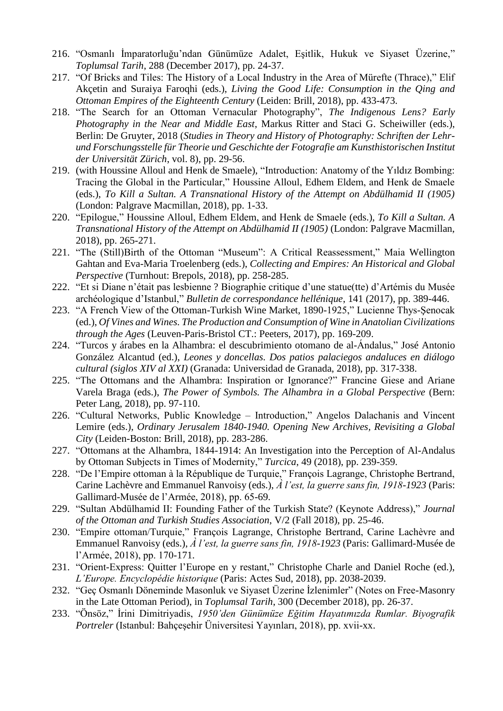- 216. "Osmanlı İmparatorluğu'ndan Günümüze Adalet, Eşitlik, Hukuk ve Siyaset Üzerine," *Toplumsal Tarih*, 288 (December 2017), pp. 24-37.
- 217. "Of Bricks and Tiles: The History of a Local Industry in the Area of Mürefte (Thrace)," Elif Akçetin and Suraiya Faroqhi (eds.), *Living the Good Life: Consumption in the Qing and Ottoman Empires of the Eighteenth Century* (Leiden: Brill, 2018), pp. 433-473.
- 218. "The Search for an Ottoman Vernacular Photography", *The Indigenous Lens? Early Photography in the Near and Middle East*, Markus Ritter and Staci G. Scheiwiller (eds.), Berlin: De Gruyter, 2018 (*Studies in Theory and History of Photography: Schriften der Lehrund Forschungsstelle für Theorie und Geschichte der Fotografie am Kunsthistorischen Institut der Universität Zürich*, vol. 8), pp. 29-56.
- 219. (with Houssine Alloul and Henk de Smaele), "Introduction: Anatomy of the Yıldız Bombing: Tracing the Global in the Particular," Houssine Alloul, Edhem Eldem, and Henk de Smaele (eds.), *To Kill a Sultan. A Transnational History of the Attempt on Abdülhamid II (1905)* (London: Palgrave Macmillan, 2018), pp. 1-33.
- 220. "Epilogue," Houssine Alloul, Edhem Eldem, and Henk de Smaele (eds.), *To Kill a Sultan. A Transnational History of the Attempt on Abdülhamid II (1905)* (London: Palgrave Macmillan, 2018), pp. 265-271.
- 221. "The (Still)Birth of the Ottoman "Museum": A Critical Reassessment," Maia Wellington Gahtan and Eva-Maria Troelenberg (eds.), *Collecting and Empires: An Historical and Global Perspective* (Turnhout: Brepols, 2018), pp. 258-285.
- 222. "Et si Diane n'était pas lesbienne ? Biographie critique d'une statue(tte) d'Artémis du Musée archéologique d'Istanbul," *Bulletin de correspondance hellénique*, 141 (2017), pp. 389-446.
- 223. "A French View of the Ottoman-Turkish Wine Market, 1890-1925," Lucienne Thys-Şenocak (ed.), *Of Vines and Wines. The Production and Consumption of Wine in Anatolian Civilizations through the Ages* (Leuven-Paris-Bristol CT.: Peeters, 2017), pp. 169-209.
- 224. "Turcos y árabes en la Alhambra: el descubrimiento otomano de al-Ándalus," José Antonio González Alcantud (ed.), *Leones y doncellas. Dos patios palaciegos andaluces en diálogo cultural (siglos XIV al XXI)* (Granada: Universidad de Granada, 2018), pp. 317-338.
- 225. "The Ottomans and the Alhambra: Inspiration or Ignorance?" Francine Giese and Ariane Varela Braga (eds.), *The Power of Symbols. The Alhambra in a Global Perspective* (Bern: Peter Lang, 2018), pp. 97-110.
- 226. "Cultural Networks, Public Knowledge Introduction," Angelos Dalachanis and Vincent Lemire (eds.), *Ordinary Jerusalem 1840-1940. Opening New Archives, Revisiting a Global City* (Leiden-Boston: Brill, 2018), pp. 283-286.
- 227. "Ottomans at the Alhambra, 1844-1914: An Investigation into the Perception of Al-Andalus by Ottoman Subjects in Times of Modernity," *Turcica*, 49 (2018), pp. 239-359.
- 228. "De l'Empire ottoman à la République de Turquie," François Lagrange, Christophe Bertrand, Carine Lachèvre and Emmanuel Ranvoisy (eds.), *À l'est, la guerre sans fin, 1918-1923* (Paris: Gallimard-Musée de l'Armée, 2018), pp. 65-69.
- 229. "Sultan Abdülhamid II: Founding Father of the Turkish State? (Keynote Address)," *Journal of the Ottoman and Turkish Studies Association*, V/2 (Fall 2018), pp. 25-46.
- 230. "Empire ottoman/Turquie," François Lagrange, Christophe Bertrand, Carine Lachèvre and Emmanuel Ranvoisy (eds.), *À l'est, la guerre sans fin, 1918-1923* (Paris: Gallimard-Musée de l'Armée, 2018), pp. 170-171.
- 231. "Orient-Express: Quitter l'Europe en y restant," Christophe Charle and Daniel Roche (ed.), *L'Europe. Encyclopédie historique* (Paris: Actes Sud, 2018), pp. 2038-2039.
- 232. "Geç Osmanlı Döneminde Masonluk ve Siyaset Üzerine İzlenimler" (Notes on Free-Masonry in the Late Ottoman Period), in *Toplumsal Tarih*, 300 (December 2018), pp. 26-37.
- 233. "Önsöz," İrini Dimitriyadis, *1950'den Günümüze Eğitim Hayatımızda Rumlar. Biyografik Portreler* (Istanbul: Bahçeşehir Üniversitesi Yayınları, 2018), pp. xvii-xx.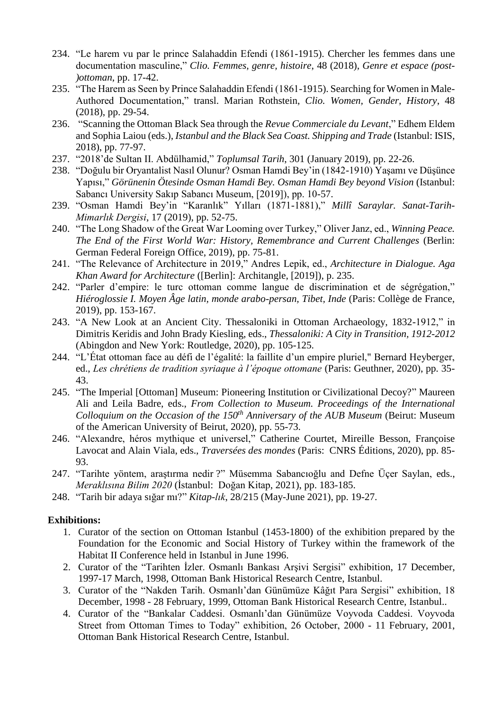- 234. "Le harem vu par le prince Salahaddin Efendi (1861-1915). Chercher les femmes dans une documentation masculine," *Clio. Femmes, genre, histoire*, 48 (2018), *Genre et espace (post- )ottoman*, pp. 17-42.
- 235. "The Harem as Seen by Prince Salahaddin Efendi (1861-1915). Searching for Women in Male-Authored Documentation," transl. Marian Rothstein, *Clio. Women, Gender, History*, 48 (2018), pp. 29-54.
- 236. "Scanning the Ottoman Black Sea through the *Revue Commerciale du Levant*," Edhem Eldem and Sophia Laiou (eds.), *Istanbul and the Black Sea Coast. Shipping and Trade* (Istanbul: ISIS, 2018), pp. 77-97.
- 237. "2018'de Sultan II. Abdülhamid," *Toplumsal Tarih*, 301 (January 2019), pp. 22-26.
- 238. "Doğulu bir Oryantalist Nasıl Olunur? Osman Hamdi Bey'in (1842-1910) Yaşamı ve Düşünce Yapısı," *Görünenin Ötesinde Osman Hamdi Bey. Osman Hamdi Bey beyond Vision* (Istanbul: Sabancı University Sakıp Sabancı Museum, [2019]), pp. 10-57.
- 239. "Osman Hamdi Bey'in "Karanlık" Yılları (1871-1881)," *Millî Saraylar. Sanat-Tarih-Mimarlık Dergisi*, 17 (2019), pp. 52-75.
- 240. "The Long Shadow of the Great War Looming over Turkey," Oliver Janz, ed., *Winning Peace. The End of the First World War: History, Remembrance and Current Challenges* (Berlin: German Federal Foreign Office, 2019), pp. 75-81.
- 241. "The Relevance of Architecture in 2019," Andres Lepik, ed., *Architecture in Dialogue. Aga Khan Award for Architecture* ([Berlin]: Architangle, [2019]), p. 235.
- 242. "Parler d'empire: le turc ottoman comme langue de discrimination et de ségrégation," *Hiéroglossie I. Moyen Âge latin, monde arabo-persan, Tibet, Inde* (Paris: Collège de France, 2019), pp. 153-167.
- 243. "A New Look at an Ancient City. Thessaloniki in Ottoman Archaeology, 1832-1912," in Dimitris Keridis and John Brady Kiesling, eds., *Thessaloniki: A City in Transition, 1912-2012* (Abingdon and New York: Routledge, 2020), pp. 105-125.
- 244. "L'État ottoman face au défi de l'égalité: la faillite d'un empire pluriel," Bernard Heyberger, ed., *Les chrétiens de tradition syriaque à l'époque ottomane* (Paris: Geuthner, 2020), pp. 35- 43.
- 245. "The Imperial [Ottoman] Museum: Pioneering Institution or Civilizational Decoy?" Maureen Ali and Leila Badre, eds., *From Collection to Museum. Proceedings of the International Colloquium on the Occasion of the 150th Anniversary of the AUB Museum* (Beirut: Museum of the American University of Beirut, 2020), pp. 55-73.
- 246. "Alexandre, héros mythique et universel," Catherine Courtet, Mireille Besson, Françoise Lavocat and Alain Viala, eds., *Traversées des mondes* (Paris: CNRS Éditions, 2020), pp. 85- 93.
- 247. "Tarihte yöntem, araştırma nedir ?" Müsemma Sabancıoğlu and Defne Üçer Saylan, eds., *Meraklısına Bilim 2020* (İstanbul: Doğan Kitap, 2021), pp. 183-185.
- 248. "Tarih bir adaya sığar mı?" *Kitap-lık*, 28/215 (May-June 2021), pp. 19-27.

#### **Exhibitions:**

- 1. Curator of the section on Ottoman Istanbul (1453-1800) of the exhibition prepared by the Foundation for the Economic and Social History of Turkey within the framework of the Habitat II Conference held in Istanbul in June 1996.
- 2. Curator of the "Tarihten İzler. Osmanlı Bankası Arşivi Sergisi" exhibition, 17 December, 1997-17 March, 1998, Ottoman Bank Historical Research Centre, Istanbul.
- 3. Curator of the "Nakden Tarih. Osmanlı'dan Günümüze Kâğıt Para Sergisi" exhibition, 18 December, 1998 - 28 February, 1999, Ottoman Bank Historical Research Centre, Istanbul..
- 4. Curator of the "Bankalar Caddesi. Osmanlı'dan Günümüze Voyvoda Caddesi. Voyvoda Street from Ottoman Times to Today" exhibition, 26 October, 2000 - 11 February, 2001, Ottoman Bank Historical Research Centre, Istanbul.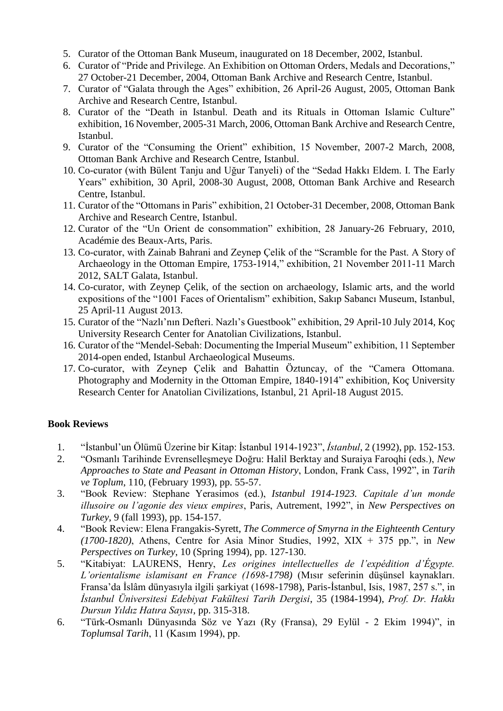- 5. Curator of the Ottoman Bank Museum, inaugurated on 18 December, 2002, Istanbul.
- 6. Curator of "Pride and Privilege. An Exhibition on Ottoman Orders, Medals and Decorations," 27 October-21 December, 2004, Ottoman Bank Archive and Research Centre, Istanbul.
- 7. Curator of "Galata through the Ages" exhibition, 26 April-26 August, 2005, Ottoman Bank Archive and Research Centre, Istanbul.
- 8. Curator of the "Death in Istanbul. Death and its Rituals in Ottoman Islamic Culture" exhibition, 16 November, 2005-31 March, 2006, Ottoman Bank Archive and Research Centre, Istanbul.
- 9. Curator of the "Consuming the Orient" exhibition, 15 November, 2007-2 March, 2008, Ottoman Bank Archive and Research Centre, Istanbul.
- 10. Co-curator (with Bülent Tanju and Uğur Tanyeli) of the "Sedad Hakkı Eldem. I. The Early Years" exhibition, 30 April, 2008-30 August, 2008, Ottoman Bank Archive and Research Centre, Istanbul.
- 11. Curator of the "Ottomans in Paris" exhibition, 21 October-31 December, 2008, Ottoman Bank Archive and Research Centre, Istanbul.
- 12. Curator of the "Un Orient de consommation" exhibition, 28 January-26 February, 2010, Académie des Beaux-Arts, Paris.
- 13. Co-curator, with Zainab Bahrani and Zeynep Çelik of the "Scramble for the Past. A Story of Archaeology in the Ottoman Empire, 1753-1914," exhibition, 21 November 2011-11 March 2012, SALT Galata, Istanbul.
- 14. Co-curator, with Zeynep Çelik, of the section on archaeology, Islamic arts, and the world expositions of the "1001 Faces of Orientalism" exhibition, Sakıp Sabancı Museum, Istanbul, 25 April-11 August 2013.
- 15. Curator of the "Nazlı'nın Defteri. Nazlı's Guestbook" exhibition, 29 April-10 July 2014, Koç University Research Center for Anatolian Civilizations, Istanbul.
- 16. Curator of the "Mendel-Sebah: Documenting the Imperial Museum" exhibition, 11 September 2014-open ended, Istanbul Archaeological Museums.
- 17. Co-curator, with Zeynep Çelik and Bahattin Öztuncay, of the "Camera Ottomana. Photography and Modernity in the Ottoman Empire, 1840-1914" exhibition, Koç University Research Center for Anatolian Civilizations, Istanbul, 21 April-18 August 2015.

# **Book Reviews**

- 1. "İstanbul'un Ölümü Üzerine bir Kitap: İstanbul 1914-1923", *İstanbul*, 2 (1992), pp. 152-153.
- 2. "Osmanlı Tarihinde Evrenselleşmeye Doğru: Halil Berktay and Suraiya Faroqhi (eds.), *New Approaches to State and Peasant in Ottoman History*, London, Frank Cass, 1992", in *Tarih ve Toplum*, 110, (February 1993), pp. 55-57.
- 3. "Book Review: Stephane Yerasimos (ed.), *Istanbul 1914-1923. Capitale d'un monde illusoire ou l'agonie des vieux empires*, Paris, Autrement, 1992", in *New Perspectives on Turkey*, 9 (fall 1993), pp. 154-157.
- 4. "Book Review: Elena Frangakis-Syrett, *The Commerce of Smyrna in the Eighteenth Century (1700-1820)*, Athens, Centre for Asia Minor Studies, 1992, XIX + 375 pp.", in *New Perspectives on Turkey*, 10 (Spring 1994), pp. 127-130.
- 5. "Kitabiyat: LAURENS, Henry, *Les origines intellectuelles de l'expédition d'Égypte. L'orientalisme islamisant en France (1698-1798)* (Mısır seferinin düşünsel kaynakları. Fransa'da İslâm dünyasıyla ilgili şarkiyat (1698-1798), Paris-İstanbul, Isis, 1987, 257 s.", in *İstanbul Üniversitesi Edebiyat Fakültesi Tarih Dergisi*, 35 (1984-1994), *Prof. Dr. Hakkı Dursun Yıldız Hatıra Sayısı*, pp. 315-318.
- 6. "Türk-Osmanlı Dünyasında Söz ve Yazı (Ry (Fransa), 29 Eylül 2 Ekim 1994)", in *Toplumsal Tarih*, 11 (Kasım 1994), pp.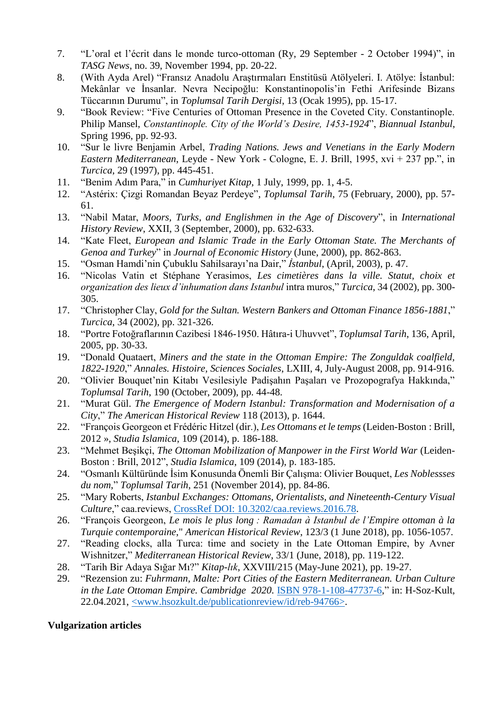- 7. "L'oral et l'écrit dans le monde turco-ottoman (Ry, 29 September 2 October 1994)", in *TASG News*, no. 39, November 1994, pp. 20-22.
- 8. (With Ayda Arel) "Fransız Anadolu Araştırmaları Enstitüsü Atölyeleri. I. Atölye: İstanbul: Mekânlar ve İnsanlar. Nevra Necipoğlu: Konstantinopolis'in Fethi Arifesinde Bizans Tüccarının Durumu", in *Toplumsal Tarih Dergisi*, 13 (Ocak 1995), pp. 15-17.
- 9. "Book Review: "Five Centuries of Ottoman Presence in the Coveted City. Constantinople. Philip Mansel, *Constantinople. City of the World's Desire, 1453-1924*", *Biannual Istanbul*, Spring 1996, pp. 92-93.
- 10. "Sur le livre Benjamin Arbel, *Trading Nations. Jews and Venetians in the Early Modern Eastern Mediterranean*, Leyde - New York - Cologne, E. J. Brill, 1995, xvi + 237 pp.", in *Turcica*, 29 (1997), pp. 445-451.
- 11. "Benim Adım Para," in *Cumhuriyet Kitap*, 1 July, 1999, pp. 1, 4-5.
- 12. "Astérix: Çizgi Romandan Beyaz Perdeye", *Toplumsal Tarih*, 75 (February, 2000), pp. 57- 61.
- 13. "Nabil Matar, *Moors, Turks, and Englishmen in the Age of Discovery*", in *International History Review*, XXII, 3 (September, 2000), pp. 632-633.
- 14. "Kate Fleet, *European and Islamic Trade in the Early Ottoman State. The Merchants of Genoa and Turkey*" in *Journal of Economic History* (June, 2000), pp. 862-863.
- 15. "Osman Hamdi'nin Çubuklu Sahilsarayı'na Dair," *İstanbul*, (April, 2003), p. 47.
- 16. "Nicolas Vatin et Stéphane Yerasimos, *Les cimetières dans la ville. Statut, choix et organization des lieux d'inhumation dans Istanbul* intra muros," *Turcica*, 34 (2002), pp. 300- 305.
- 17. "Christopher Clay, *Gold for the Sultan. Western Bankers and Ottoman Finance 1856-1881*," *Turcica*, 34 (2002), pp. 321-326.
- 18. "Portre Fotoğraflarının Cazibesi 1846-1950. Hâtıra-i Uhuvvet", *Toplumsal Tarih*, 136, April, 2005, pp. 30-33.
- 19. "Donald Quataert, *Miners and the state in the Ottoman Empire: The Zonguldak coalfield, 1822-1920*," *Annales. Histoire, Sciences Sociales*, LXIII, 4, July-August 2008, pp. 914-916.
- 20. "Olivier Bouquet'nin Kitabı Vesilesiyle Padişahın Paşaları ve Prozopografya Hakkında," *Toplumsal Tarih*, 190 (October, 2009), pp. 44-48.
- 21. "Murat Gül. *The Emergence of Modern Istanbul: Transformation and Modernisation of a City*," *The American Historical Review* 118 (2013), p. 1644.
- 22. "François Georgeon et Frédéric Hitzel (dir.), *Les Ottomans et le temps* (Leiden-Boston : Brill, 2012 », *Studia Islamica*, 109 (2014), p. 186-188.
- 23. "Mehmet Beşikçi, *The Ottoman Mobilization of Manpower in the First World War* (Leiden-Boston : Brill, 2012", *Studia Islamica*, 109 (2014), p. 183-185.
- 24. "Osmanlı Kültüründe İsim Konusunda Önemli Bir Çalışma: Olivier Bouquet, *Les Noblessses du nom*," *Toplumsal Tarih*, 251 (November 2014), pp. 84-86.
- 25. "Mary Roberts, *Istanbul Exchanges: Ottomans, Orientalists, and Nineteenth-Century Visual Culture*," caa.reviews, [CrossRef DOI: 10.3202/caa.reviews.2016.78.](http://dx.doi.org/10.3202/caa.reviews.2016.78)
- 26. "François Georgeon, *Le mois le plus long : Ramadan à Istanbul de l'Empire ottoman à la Turquie contemporaine*," *American Historical Review*, 123/3 (1 June 2018), pp. 1056-1057.
- 27. "Reading clocks, alla Turca: time and society in the Late Ottoman Empire, by Avner Wishnitzer," *Mediterranean Historical Review*, 33/1 (June, 2018), pp. 119-122.
- 28. "Tarih Bir Adaya Sığar Mı?" *Kitap-lık*, XXVIII/215 (May-June 2021), pp. 19-27.
- 29. "Rezension zu: *Fuhrmann, Malte: Port Cities of the Eastern Mediterranean. Urban Culture in the Late Ottoman Empire. Cambridge 2020*. [ISBN 978-1-108-47737-6,](https://kvk.bibliothek.kit.edu/hylib-bin/kvk/nph-kvk2.cgi?maske=kvk-redesign&lang=de&title=KIT-Bibliothek%3A+Karlsruher+Virtueller+Katalog+KVK+%3A+Ergebnisanzeige&head=%2F%2Fkvk.bibliothek.kit.edu%2Fasset%2Fhtml%2Fhead.html&header=%2F%2Fkvk.bibliothek.kit.edu%2Fasset%2Fhtml%2Fheader.html&spacer=%2F%2Fkvk.bibliothek.kit.edu%2Fasset%2Fhtml%2Fspacer.html&footer=%2F%2Fkvk.bibliothek.kit.edu%2Fasset%2Fhtml%2Ffooter.html&css=none&input-charset=utf-8&ALL=&TI=&AU=&CI=&ST=&PY=&&SS=&PU=&VERBUENDE=&kataloge=SWB&kataloge=BVB&kataloge=NRW&kataloge=HEBIS&kataloge=HEBIS_RETRO&kataloge=KOBV_SOLR&kataloge=GBV&kataloge=DDB&kataloge=STABI_BERLIN&ref=direct&SB=978-1-108-47737-6)" in: H-Soz-Kult, 22.04.2021, [<www.hsozkult.de/publicationreview/id/reb-94766>.](http://www.hsozkult.de/publicationreview/id/reb-94766)

#### **Vulgarization articles**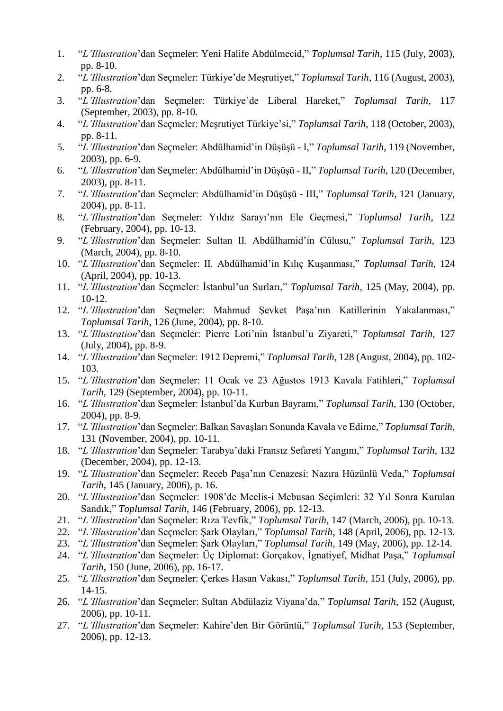- 1. "*L'Illustration*'dan Seçmeler: Yeni Halife Abdülmecid," *Toplumsal Tarih*, 115 (July, 2003), pp. 8-10.
- 2. "*L'Illustration*'dan Seçmeler: Türkiye'de Meşrutiyet," *Toplumsal Tarih*, 116 (August, 2003), pp. 6-8.
- 3. "*L'Illustration*'dan Seçmeler: Türkiye'de Liberal Hareket," *Toplumsal Tarih*, 117 (September, 2003), pp. 8-10.
- 4. "*L'Illustration*'dan Seçmeler: Meşrutiyet Türkiye'si," *Toplumsal Tarih*, 118 (October, 2003), pp. 8-11.
- 5. "*L'Illustration*'dan Seçmeler: Abdülhamid'in Düşüşü I," *Toplumsal Tarih*, 119 (November, 2003), pp. 6-9.
- 6. "*L'Illustration*'dan Seçmeler: Abdülhamid'in Düşüşü II," *Toplumsal Tarih*, 120 (December, 2003), pp. 8-11.
- 7. "*L'Illustration*'dan Seçmeler: Abdülhamid'in Düşüşü III," *Toplumsal Tarih*, 121 (January, 2004), pp. 8-11.
- 8. "*L'Illustration*'dan Seçmeler: Yıldız Sarayı'nın Ele Geçmesi," *Toplumsal Tarih*, 122 (February, 2004), pp. 10-13.
- 9. "*L'Illustration*'dan Seçmeler: Sultan II. Abdülhamid'in Cülusu," *Toplumsal Tarih*, 123 (March, 2004), pp. 8-10.
- 10. "*L'Illustration*'dan Seçmeler: II. Abdülhamid'in Kılıç Kuşanması," *Toplumsal Tarih*, 124 (April, 2004), pp. 10-13.
- 11. "*L'Illustration*'dan Seçmeler: İstanbul'un Surları," *Toplumsal Tarih*, 125 (May, 2004), pp. 10-12.
- 12. "*L'Illustration*'dan Seçmeler: Mahmud Şevket Paşa'nın Katillerinin Yakalanması," *Toplumsal Tarih*, 126 (June, 2004), pp. 8-10.
- 13. "*L'Illustration*'dan Seçmeler: Pierre Loti'nin İstanbul'u Ziyareti," *Toplumsal Tarih*, 127 (July, 2004), pp. 8-9.
- 14. "*L'Illustration*'dan Seçmeler: 1912 Depremi," *Toplumsal Tarih*, 128 (August, 2004), pp. 102- 103.
- 15. "*L'Illustration*'dan Seçmeler: 11 Ocak ve 23 Ağustos 1913 Kavala Fatihleri," *Toplumsal Tarih*, 129 (September, 2004), pp. 10-11.
- 16. "*L'Illustration*'dan Seçmeler: İstanbul'da Kurban Bayramı," *Toplumsal Tarih*, 130 (October, 2004), pp. 8-9.
- 17. "*L'Illustration*'dan Seçmeler: Balkan Savaşları Sonunda Kavala ve Edirne," *Toplumsal Tarih*, 131 (November, 2004), pp. 10-11.
- 18. "*L'Illustration*'dan Seçmeler: Tarabya'daki Fransız Sefareti Yangını," *Toplumsal Tarih*, 132 (December, 2004), pp. 12-13.
- 19. "*L'Illustration*'dan Seçmeler: Receb Paşa'nın Cenazesi: Nazıra Hüzünlü Veda," *Toplumsal Tarih*, 145 (January, 2006), p. 16.
- 20. "*L'Illustration*'dan Seçmeler: 1908'de Meclis-i Mebusan Seçimleri: 32 Yıl Sonra Kurulan Sandık," *Toplumsal Tarih*, 146 (February, 2006), pp. 12-13.
- 21. "*L'Illustration*'dan Seçmeler: Rıza Tevfik," *Toplumsal Tarih*, 147 (March, 2006), pp. 10-13.
- 22. "*L'Illustration*'dan Seçmeler: Şark Olayları," *Toplumsal Tarih*, 148 (April, 2006), pp. 12-13.
- 23. "*L'Illustration*'dan Seçmeler: Şark Olayları," *Toplumsal Tarih*, 149 (May, 2006), pp. 12-14.
- 24. "*L'Illustration*'dan Seçmeler: Üç Diplomat: Gorçakov, İgnatiyef, Midhat Paşa," *Toplumsal Tarih*, 150 (June, 2006), pp. 16-17.
- 25. "*L'Illustration*'dan Seçmeler: Çerkes Hasan Vakası," *Toplumsal Tarih*, 151 (July, 2006), pp. 14-15.
- 26. "*L'Illustration*'dan Seçmeler: Sultan Abdülaziz Viyana'da," *Toplumsal Tarih*, 152 (August, 2006), pp. 10-11.
- 27. "*L'Illustration*'dan Seçmeler: Kahire'den Bir Görüntü," *Toplumsal Tarih*, 153 (September, 2006), pp. 12-13.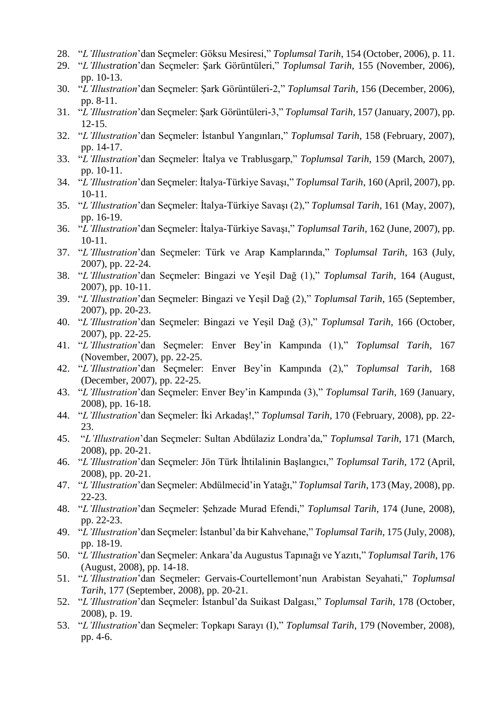- 28. "*L'Illustration*'dan Seçmeler: Göksu Mesiresi," *Toplumsal Tarih*, 154 (October, 2006), p. 11.
- 29. "*L'Illustration*'dan Seçmeler: Şark Görüntüleri," *Toplumsal Tarih*, 155 (November, 2006), pp. 10-13.
- 30. "*L'Illustration*'dan Seçmeler: Şark Görüntüleri-2," *Toplumsal Tarih*, 156 (December, 2006), pp. 8-11.
- 31. "*L'Illustration*'dan Seçmeler: Şark Görüntüleri-3," *Toplumsal Tarih*, 157 (January, 2007), pp. 12-15.
- 32. "*L'Illustration*'dan Seçmeler: İstanbul Yangınları," *Toplumsal Tarih*, 158 (February, 2007), pp. 14-17.
- 33. "*L'Illustration*'dan Seçmeler: İtalya ve Trablusgarp," *Toplumsal Tarih*, 159 (March, 2007), pp. 10-11.
- 34. "*L'Illustration*'dan Seçmeler: İtalya-Türkiye Savaşı," *Toplumsal Tarih*, 160 (April, 2007), pp. 10-11.
- 35. "*L'Illustration*'dan Seçmeler: İtalya-Türkiye Savaşı (2)," *Toplumsal Tarih*, 161 (May, 2007), pp. 16-19.
- 36. "*L'Illustration*'dan Seçmeler: İtalya-Türkiye Savaşı," *Toplumsal Tarih*, 162 (June, 2007), pp. 10-11.
- 37. "*L'Illustration*'dan Seçmeler: Türk ve Arap Kamplarında," *Toplumsal Tarih*, 163 (July, 2007), pp. 22-24.
- 38. "*L'Illustration*'dan Seçmeler: Bingazi ve Yeşil Dağ (1)," *Toplumsal Tarih*, 164 (August, 2007), pp. 10-11.
- 39. "*L'Illustration*'dan Seçmeler: Bingazi ve Yeşil Dağ (2)," *Toplumsal Tarih*, 165 (September, 2007), pp. 20-23.
- 40. "*L'Illustration*'dan Seçmeler: Bingazi ve Yeşil Dağ (3)," *Toplumsal Tarih*, 166 (October, 2007), pp. 22-25.
- 41. "*L'Illustration*'dan Seçmeler: Enver Bey'in Kampında (1)," *Toplumsal Tarih*, 167 (November, 2007), pp. 22-25.
- 42. "*L'Illustration*'dan Seçmeler: Enver Bey'in Kampında (2)," *Toplumsal Tarih*, 168 (December, 2007), pp. 22-25.
- 43. "*L'Illustration*'dan Seçmeler: Enver Bey'in Kampında (3)," *Toplumsal Tarih*, 169 (January, 2008), pp. 16-18.
- 44. "*L'Illustration*'dan Seçmeler: İki Arkadaş!," *Toplumsal Tarih*, 170 (February, 2008), pp. 22- 23.
- 45. "*L'Illustration*'dan Seçmeler: Sultan Abdülaziz Londra'da," *Toplumsal Tarih*, 171 (March, 2008), pp. 20-21.
- 46. "*L'Illustration*'dan Seçmeler: Jön Türk İhtilalinin Başlangıcı," *Toplumsal Tarih*, 172 (April, 2008), pp. 20-21.
- 47. "*L'Illustration*'dan Seçmeler: Abdülmecid'in Yatağı," *Toplumsal Tarih*, 173 (May, 2008), pp. 22-23.
- 48. "*L'Illustration*'dan Seçmeler: Şehzade Murad Efendi," *Toplumsal Tarih*, 174 (June, 2008), pp. 22-23.
- 49. "*L'Illustration*'dan Seçmeler: İstanbul'da bir Kahvehane," *Toplumsal Tarih*, 175 (July, 2008), pp. 18-19.
- 50. "*L'Illustration*'dan Seçmeler: Ankara'da Augustus Tapınağı ve Yazıtı," *Toplumsal Tarih*, 176 (August, 2008), pp. 14-18.
- 51. "*L'Illustration*'dan Seçmeler: Gervais-Courtellemont'nun Arabistan Seyahati," *Toplumsal Tarih*, 177 (September, 2008), pp. 20-21.
- 52. "*L'Illustration*'dan Seçmeler: İstanbul'da Suikast Dalgası," *Toplumsal Tarih*, 178 (October, 2008), p. 19.
- 53. "*L'Illustration*'dan Seçmeler: Topkapı Sarayı (I)," *Toplumsal Tarih*, 179 (November, 2008), pp. 4-6.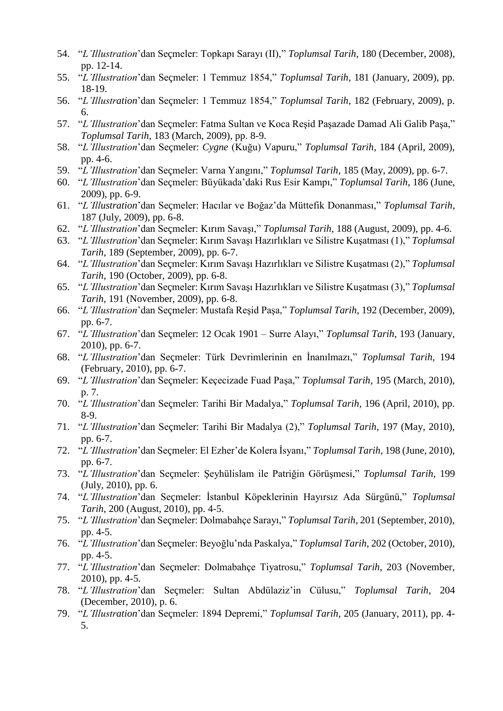- 54. "*L'Illustration*'dan Seçmeler: Topkapı Sarayı (II)," *Toplumsal Tarih*, 180 (December, 2008), pp. 12-14.
- 55. "*L'Illustration*'dan Seçmeler: 1 Temmuz 1854," *Toplumsal Tarih*, 181 (January, 2009), pp. 18-19.
- 56. "*L'Illustration*'dan Seçmeler: 1 Temmuz 1854," *Toplumsal Tarih*, 182 (February, 2009), p. 6.
- 57. "*L'Illustration*'dan Seçmeler: Fatma Sultan ve Koca Reşid Paşazade Damad Ali Galib Paşa," *Toplumsal Tarih*, 183 (March, 2009), pp. 8-9.
- 58. "*L'Illustration*'dan Seçmeler: *Cygne* (Kuğu) Vapuru," *Toplumsal Tarih*, 184 (April, 2009), pp. 4-6.
- 59. "*L'Illustration*'dan Seçmeler: Varna Yangını," *Toplumsal Tarih*, 185 (May, 2009), pp. 6-7.
- 60. "*L'Illustration*'dan Seçmeler: Büyükada'daki Rus Esir Kampı," *Toplumsal Tarih*, 186 (June, 2009), pp. 6-9.
- 61. "*L'Illustration*'dan Seçmeler: Hacılar ve Boğaz'da Müttefik Donanması," *Toplumsal Tarih*, 187 (July, 2009), pp. 6-8.
- 62. "*L'Illustration*'dan Seçmeler: Kırım Savaşı," *Toplumsal Tarih*, 188 (August, 2009), pp. 4-6.
- 63. "*L'Illustration*'dan Seçmeler: Kırım Savaşı Hazırlıkları ve Silistre Kuşatması (1)," *Toplumsal Tarih*, 189 (September, 2009), pp. 6-7.
- 64. "*L'Illustration*'dan Seçmeler: Kırım Savaşı Hazırlıkları ve Silistre Kuşatması (2)," *Toplumsal Tarih*, 190 (October, 2009), pp. 6-8.
- 65. "*L'Illustration*'dan Seçmeler: Kırım Savaşı Hazırlıkları ve Silistre Kuşatması (3)," *Toplumsal Tarih*, 191 (November, 2009), pp. 6-8.
- 66. "*L'Illustration*'dan Seçmeler: Mustafa Reşid Paşa," *Toplumsal Tarih*, 192 (December, 2009), pp. 6-7.
- 67. "*L'Illustration*'dan Seçmeler: 12 Ocak 1901 Surre Alayı," *Toplumsal Tarih*, 193 (January, 2010), pp. 6-7.
- 68. "*L'Illustration*'dan Seçmeler: Türk Devrimlerinin en İnanılmazı," *Toplumsal Tarih*, 194 (February, 2010), pp. 6-7.
- 69. "*L'Illustration*'dan Seçmeler: Keçecizade Fuad Paşa," *Toplumsal Tarih*, 195 (March, 2010), p. 7.
- 70. "*L'Illustration*'dan Seçmeler: Tarihi Bir Madalya," *Toplumsal Tarih*, 196 (April, 2010), pp. 8-9.
- 71. "*L'Illustration*'dan Seçmeler: Tarihi Bir Madalya (2)," *Toplumsal Tarih*, 197 (May, 2010), pp. 6-7.
- 72. "*L'Illustration*'dan Seçmeler: El Ezher'de Kolera İsyanı," *Toplumsal Tarih*, 198 (June, 2010), pp. 6-7.
- 73. "*L'Illustration*'dan Seçmeler: Şeyhülislam ile Patriğin Görüşmesi," *Toplumsal Tarih*, 199 (July, 2010), pp. 6.
- 74. "*L'Illustration*'dan Seçmeler: İstanbul Köpeklerinin Hayırsız Ada Sürgünü," *Toplumsal Tarih*, 200 (August, 2010), pp. 4-5.
- 75. "*L'Illustration*'dan Seçmeler: Dolmabahçe Sarayı," *Toplumsal Tarih*, 201 (September, 2010), pp. 4-5.
- 76. "*L'Illustration*'dan Seçmeler: Beyoğlu'nda Paskalya," *Toplumsal Tarih*, 202 (October, 2010), pp. 4-5.
- 77. "*L'Illustration*'dan Seçmeler: Dolmabahçe Tiyatrosu," *Toplumsal Tarih*, 203 (November, 2010), pp. 4-5.
- 78. "*L'Illustration*'dan Seçmeler: Sultan Abdülaziz'in Cülusu," *Toplumsal Tarih*, 204 (December, 2010), p. 6.
- 79. "*L'Illustration*'dan Seçmeler: 1894 Depremi," *Toplumsal Tarih*, 205 (January, 2011), pp. 4- 5.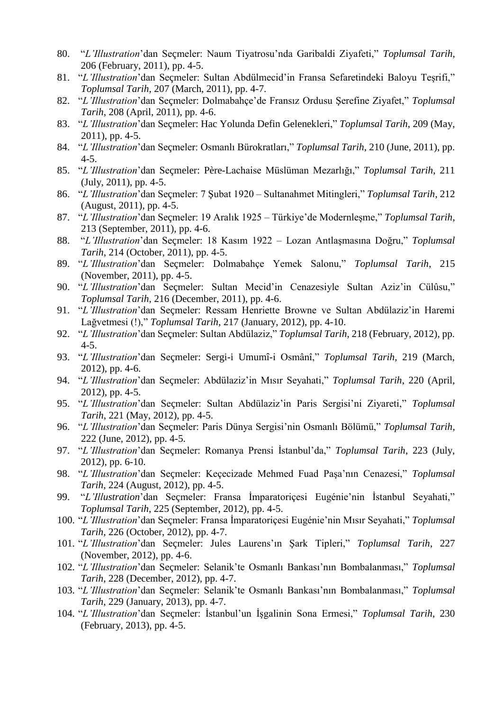- 80. "*L'Illustration*'dan Seçmeler: Naum Tiyatrosu'nda Garibaldi Ziyafeti," *Toplumsal Tarih*, 206 (February, 2011), pp. 4-5.
- 81. "*L'Illustration*'dan Seçmeler: Sultan Abdülmecid'in Fransa Sefaretindeki Baloyu Teşrifi," *Toplumsal Tarih*, 207 (March, 2011), pp. 4-7.
- 82. "*L'Illustration*'dan Seçmeler: Dolmabahçe'de Fransız Ordusu Şerefine Ziyafet," *Toplumsal Tarih*, 208 (April, 2011), pp. 4-6.
- 83. "*L'Illustration*'dan Seçmeler: Hac Yolunda Defin Gelenekleri," *Toplumsal Tarih*, 209 (May, 2011), pp. 4-5.
- 84. "*L'Illustration*'dan Seçmeler: Osmanlı Bürokratları," *Toplumsal Tarih*, 210 (June, 2011), pp. 4-5.
- 85. "*L'Illustration*'dan Seçmeler: Père-Lachaise Müslüman Mezarlığı," *Toplumsal Tarih*, 211 (July, 2011), pp. 4-5.
- 86. "*L'Illustration*'dan Seçmeler: 7 Şubat 1920 Sultanahmet Mitingleri," *Toplumsal Tarih*, 212 (August, 2011), pp. 4-5.
- 87. "*L'Illustration*'dan Seçmeler: 19 Aralık 1925 Türkiye'de Modernleşme," *Toplumsal Tarih*, 213 (September, 2011), pp. 4-6.
- 88. "*L'Illustration*'dan Seçmeler: 18 Kasım 1922 Lozan Antlaşmasına Doğru," *Toplumsal Tarih*, 214 (October, 2011), pp. 4-5.
- 89. "*L'Illustration*'dan Seçmeler: Dolmabahçe Yemek Salonu," *Toplumsal Tarih*, 215 (November, 2011), pp. 4-5.
- 90. "*L'Illustration*'dan Seçmeler: Sultan Mecid'in Cenazesiyle Sultan Aziz'in Cülûsu," *Toplumsal Tarih*, 216 (December, 2011), pp. 4-6.
- 91. "*L'Illustration*'dan Seçmeler: Ressam Henriette Browne ve Sultan Abdülaziz'in Haremi Lağvetmesi (!)," *Toplumsal Tarih*, 217 (January, 2012), pp. 4-10.
- 92. "*L'Illustration*'dan Seçmeler: Sultan Abdülaziz," *Toplumsal Tarih*, 218 (February, 2012), pp. 4-5.
- 93. "*L'Illustration*'dan Seçmeler: Sergi-i Umumî-i Osmânî," *Toplumsal Tarih*, 219 (March, 2012), pp. 4-6.
- 94. "*L'Illustration*'dan Seçmeler: Abdülaziz'in Mısır Seyahati," *Toplumsal Tarih*, 220 (April, 2012), pp. 4-5.
- 95. "*L'Illustration*'dan Seçmeler: Sultan Abdülaziz'in Paris Sergisi'ni Ziyareti," *Toplumsal Tarih*, 221 (May, 2012), pp. 4-5.
- 96. "*L'Illustration*'dan Seçmeler: Paris Dünya Sergisi'nin Osmanlı Bölümü," *Toplumsal Tarih*, 222 (June, 2012), pp. 4-5.
- 97. "*L'Illustration*'dan Seçmeler: Romanya Prensi İstanbul'da," *Toplumsal Tarih*, 223 (July, 2012), pp. 6-10.
- 98. "*L'Illustration*'dan Seçmeler: Keçecizade Mehmed Fuad Paşa'nın Cenazesi," *Toplumsal Tarih*, 224 (August, 2012), pp. 4-5.
- 99. "*L'Illustration*'dan Seçmeler: Fransa İmparatoriçesi Eugénie'nin İstanbul Seyahati," *Toplumsal Tarih*, 225 (September, 2012), pp. 4-5.
- 100. "*L'Illustration*'dan Seçmeler: Fransa İmparatoriçesi Eugénie'nin Mısır Seyahati," *Toplumsal Tarih*, 226 (October, 2012), pp. 4-7.
- 101. "*L'Illustration*'dan Seçmeler: Jules Laurens'ın Şark Tipleri," *Toplumsal Tarih*, 227 (November, 2012), pp. 4-6.
- 102. "*L'Illustration*'dan Seçmeler: Selanik'te Osmanlı Bankası'nın Bombalanması," *Toplumsal Tarih*, 228 (December, 2012), pp. 4-7.
- 103. "*L'Illustration*'dan Seçmeler: Selanik'te Osmanlı Bankası'nın Bombalanması," *Toplumsal Tarih*, 229 (January, 2013), pp. 4-7.
- 104. "*L'Illustration*'dan Seçmeler: İstanbul'un İşgalinin Sona Ermesi," *Toplumsal Tarih*, 230 (February, 2013), pp. 4-5.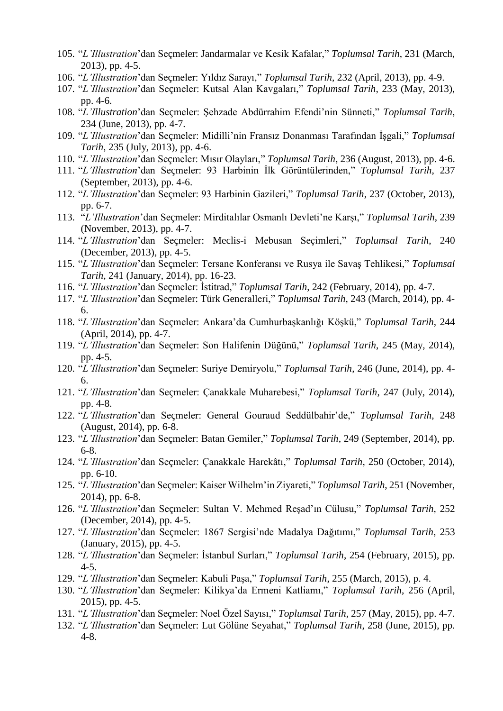- 105. "*L'Illustration*'dan Seçmeler: Jandarmalar ve Kesik Kafalar," *Toplumsal Tarih*, 231 (March, 2013), pp. 4-5.
- 106. "*L'Illustration*'dan Seçmeler: Yıldız Sarayı," *Toplumsal Tarih*, 232 (April, 2013), pp. 4-9.
- 107. "*L'Illustration*'dan Seçmeler: Kutsal Alan Kavgaları," *Toplumsal Tarih*, 233 (May, 2013), pp. 4-6.
- 108. "*L'Illustration*'dan Seçmeler: Şehzade Abdürrahim Efendi'nin Sünneti," *Toplumsal Tarih*, 234 (June, 2013), pp. 4-7.
- 109. "*L'Illustration*'dan Seçmeler: Midilli'nin Fransız Donanması Tarafından İşgali," *Toplumsal Tarih*, 235 (July, 2013), pp. 4-6.
- 110. "*L'Illustration*'dan Seçmeler: Mısır Olayları," *Toplumsal Tarih*, 236 (August, 2013), pp. 4-6.
- 111. "*L'Illustration*'dan Seçmeler: 93 Harbinin İlk Görüntülerinden," *Toplumsal Tarih*, 237 (September, 2013), pp. 4-6.
- 112. "*L'Illustration*'dan Seçmeler: 93 Harbinin Gazileri," *Toplumsal Tarih*, 237 (October, 2013), pp. 6-7.
- 113. "*L'Illustration*'dan Seçmeler: Mirditalılar Osmanlı Devleti'ne Karşı," *Toplumsal Tarih*, 239 (November, 2013), pp. 4-7.
- 114. "*L'Illustration*'dan Seçmeler: Meclis-i Mebusan Seçimleri," *Toplumsal Tarih*, 240 (December, 2013), pp. 4-5.
- 115. "*L'Illustration*'dan Seçmeler: Tersane Konferansı ve Rusya ile Savaş Tehlikesi," *Toplumsal Tarih*, 241 (January, 2014), pp. 16-23.
- 116. "*L'Illustration*'dan Seçmeler: İstitrad," *Toplumsal Tarih*, 242 (February, 2014), pp. 4-7.
- 117. "*L'Illustration*'dan Seçmeler: Türk Generalleri," *Toplumsal Tarih*, 243 (March, 2014), pp. 4- 6.
- 118. "*L'Illustration*'dan Seçmeler: Ankara'da Cumhurbaşkanlığı Köşkü," *Toplumsal Tarih*, 244 (April, 2014), pp. 4-7.
- 119. "*L'Illustration*'dan Seçmeler: Son Halifenin Düğünü," *Toplumsal Tarih*, 245 (May, 2014), pp. 4-5.
- 120. "*L'Illustration*'dan Seçmeler: Suriye Demiryolu," *Toplumsal Tarih*, 246 (June, 2014), pp. 4- 6.
- 121. "*L'Illustration*'dan Seçmeler: Çanakkale Muharebesi," *Toplumsal Tarih*, 247 (July, 2014), pp. 4-8.
- 122. "*L'Illustration*'dan Seçmeler: General Gouraud Seddülbahir'de," *Toplumsal Tarih*, 248 (August, 2014), pp. 6-8.
- 123. "*L'Illustration*'dan Seçmeler: Batan Gemiler," *Toplumsal Tarih*, 249 (September, 2014), pp. 6-8.
- 124. "*L'Illustration*'dan Seçmeler: Çanakkale Harekâtı," *Toplumsal Tarih*, 250 (October, 2014), pp. 6-10.
- 125. "*L'Illustration*'dan Seçmeler: Kaiser Wilhelm'in Ziyareti," *Toplumsal Tarih*, 251 (November, 2014), pp. 6-8.
- 126. "*L'Illustration*'dan Seçmeler: Sultan V. Mehmed Reşad'ın Cülusu," *Toplumsal Tarih*, 252 (December, 2014), pp. 4-5.
- 127. "*L'Illustration*'dan Seçmeler: 1867 Sergisi'nde Madalya Dağıtımı," *Toplumsal Tarih*, 253 (January, 2015), pp. 4-5.
- 128. "*L'Illustration*'dan Seçmeler: İstanbul Surları," *Toplumsal Tarih*, 254 (February, 2015), pp. 4-5.
- 129. "*L'Illustration*'dan Seçmeler: Kabuli Paşa," *Toplumsal Tarih*, 255 (March, 2015), p. 4.
- 130. "*L'Illustration*'dan Seçmeler: Kilikya'da Ermeni Katliamı," *Toplumsal Tarih*, 256 (April, 2015), pp. 4-5.
- 131. "*L'Illustration*'dan Seçmeler: Noel Özel Sayısı," *Toplumsal Tarih*, 257 (May, 2015), pp. 4-7.
- 132. "*L'Illustration*'dan Seçmeler: Lut Gölüne Seyahat," *Toplumsal Tarih*, 258 (June, 2015), pp. 4-8.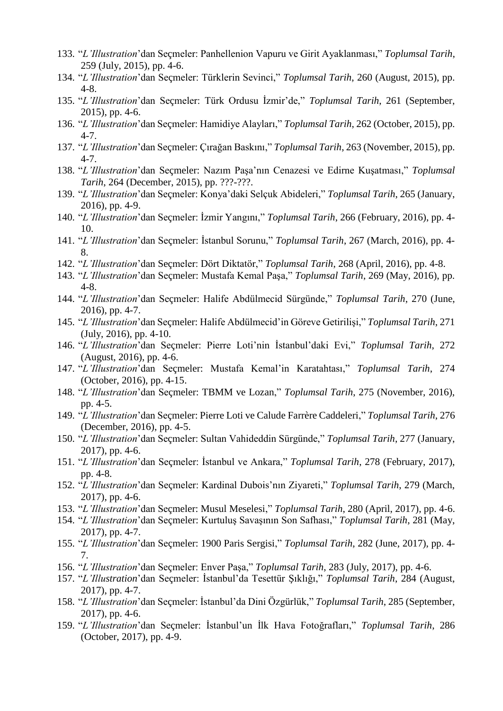- 133. "*L'Illustration*'dan Seçmeler: Panhellenion Vapuru ve Girit Ayaklanması," *Toplumsal Tarih*, 259 (July, 2015), pp. 4-6.
- 134. "*L'Illustration*'dan Seçmeler: Türklerin Sevinci," *Toplumsal Tarih*, 260 (August, 2015), pp. 4-8.
- 135. "*L'Illustration*'dan Seçmeler: Türk Ordusu İzmir'de," *Toplumsal Tarih*, 261 (September, 2015), pp. 4-6.
- 136. "*L'Illustration*'dan Seçmeler: Hamidiye Alayları," *Toplumsal Tarih*, 262 (October, 2015), pp. 4-7.
- 137. "*L'Illustration*'dan Seçmeler: Çırağan Baskını," *Toplumsal Tarih*, 263 (November, 2015), pp. 4-7.
- 138. "*L'Illustration*'dan Seçmeler: Nazım Paşa'nın Cenazesi ve Edirne Kuşatması," *Toplumsal Tarih*, 264 (December, 2015), pp. ???-???.
- 139. "*L'Illustration*'dan Seçmeler: Konya'daki Selçuk Abideleri," *Toplumsal Tarih*, 265 (January, 2016), pp. 4-9.
- 140. "*L'Illustration*'dan Seçmeler: İzmir Yangını," *Toplumsal Tarih*, 266 (February, 2016), pp. 4- 10.
- 141. "*L'Illustration*'dan Seçmeler: İstanbul Sorunu," *Toplumsal Tarih*, 267 (March, 2016), pp. 4- 8.
- 142. "*L'Illustration*'dan Seçmeler: Dört Diktatör," *Toplumsal Tarih*, 268 (April, 2016), pp. 4-8.
- 143. "*L'Illustration*'dan Seçmeler: Mustafa Kemal Paşa," *Toplumsal Tarih*, 269 (May, 2016), pp. 4-8.
- 144. "*L'Illustration*'dan Seçmeler: Halife Abdülmecid Sürgünde," *Toplumsal Tarih*, 270 (June, 2016), pp. 4-7.
- 145. "*L'Illustration*'dan Seçmeler: Halife Abdülmecid'in Göreve Getirilişi," *Toplumsal Tarih*, 271 (July, 2016), pp. 4-10.
- 146. "*L'Illustration*'dan Seçmeler: Pierre Loti'nin İstanbul'daki Evi," *Toplumsal Tarih*, 272 (August, 2016), pp. 4-6.
- 147. "*L'Illustration*'dan Seçmeler: Mustafa Kemal'in Karatahtası," *Toplumsal Tarih*, 274 (October, 2016), pp. 4-15.
- 148. "*L'Illustration*'dan Seçmeler: TBMM ve Lozan," *Toplumsal Tarih*, 275 (November, 2016), pp. 4-5.
- 149. "*L'Illustration*'dan Seçmeler: Pierre Loti ve Calude Farrère Caddeleri," *Toplumsal Tarih*, 276 (December, 2016), pp. 4-5.
- 150. "*L'Illustration*'dan Seçmeler: Sultan Vahideddin Sürgünde," *Toplumsal Tarih*, 277 (January, 2017), pp. 4-6.
- 151. "*L'Illustration*'dan Seçmeler: İstanbul ve Ankara," *Toplumsal Tarih*, 278 (February, 2017), pp. 4-8.
- 152. "*L'Illustration*'dan Seçmeler: Kardinal Dubois'nın Ziyareti," *Toplumsal Tarih*, 279 (March, 2017), pp. 4-6.
- 153. "*L'Illustration*'dan Seçmeler: Musul Meselesi," *Toplumsal Tarih*, 280 (April, 2017), pp. 4-6.
- 154. "*L'Illustration*'dan Seçmeler: Kurtuluş Savaşının Son Safhası," *Toplumsal Tarih*, 281 (May, 2017), pp. 4-7.
- 155. "*L'Illustration*'dan Seçmeler: 1900 Paris Sergisi," *Toplumsal Tarih*, 282 (June, 2017), pp. 4- 7.
- 156. "*L'Illustration*'dan Seçmeler: Enver Paşa," *Toplumsal Tarih*, 283 (July, 2017), pp. 4-6.
- 157. "*L'Illustration*'dan Seçmeler: İstanbul'da Tesettür Şıklığı," *Toplumsal Tarih*, 284 (August, 2017), pp. 4-7.
- 158. "*L'Illustration*'dan Seçmeler: İstanbul'da Dini Özgürlük," *Toplumsal Tarih*, 285 (September, 2017), pp. 4-6.
- 159. "*L'Illustration*'dan Seçmeler: İstanbul'un İlk Hava Fotoğrafları," *Toplumsal Tarih*, 286 (October, 2017), pp. 4-9.